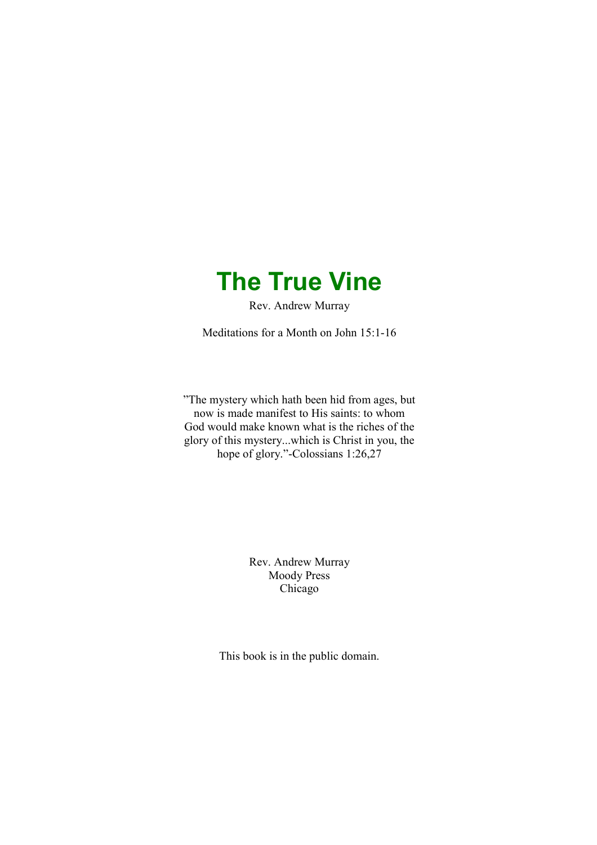

Rev. Andrew Murray

Meditations for a Month on John 15:1-16

"The mystery which hath been hid from ages, but now is made manifest to His saints: to whom God would make known what is the riches of the glory of this mystery...which is Christ in you, the hope of glory."-Colossians 1:26,27

> Rev. Andrew Murray Moody Press Chicago

This book is in the public domain.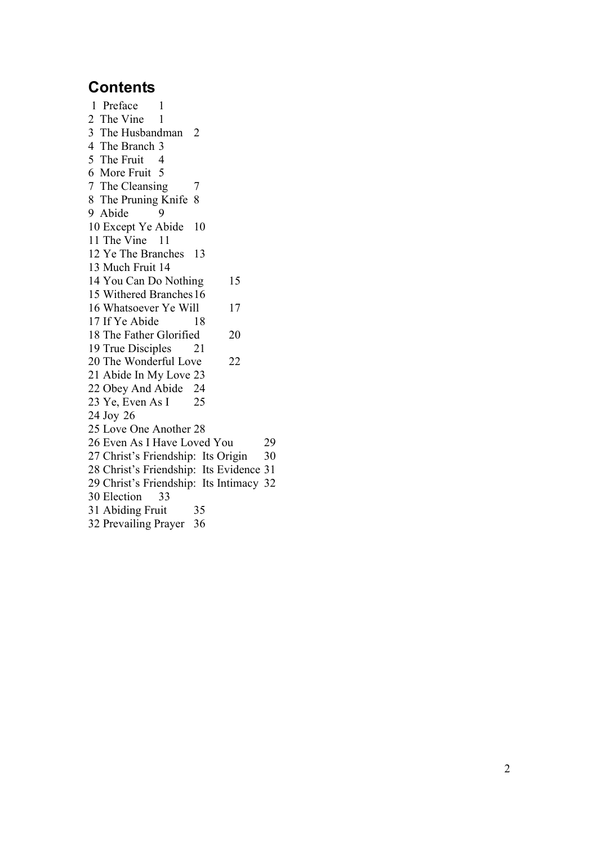# **Contents**

1 P r e face 1 2 The Vine 1 3 The Husbandman 2 4 The Branch 3 5 T h e F ru i  $\overline{4}$ 6 More Fruit 5 7 The Cleansing 7 8 The Pruning Knife 8 9 A b i d e 9 10 Except Ye Abide 10 11 The Vine 11 12 Ye The Branches 13 13 Much Fruit 14 14 You Can Do Nothing 15 15 Withered Branches 16 16 Whatsoever Ye Will 17 1 7 If Ye A b i d e 18 18 The Father Glorified 20 19 True Disciples 21 20 The Wonderful Love 22 21 Abide In My Love 23 22 Obey And Abide 24 23 Ye, Even As I 25 2 4 J o y 26 25 Love One Another 28 26 Even As I Have Loved You 29 27 Christ's Friendship: Its Origin 30 28 Christ's Friendship: Its Evidence 31 29 Christ's Friendship: Its Intimacy 32 3 0 Election 33 31 Abiding Fruit 35 32 Prevailing Prayer 36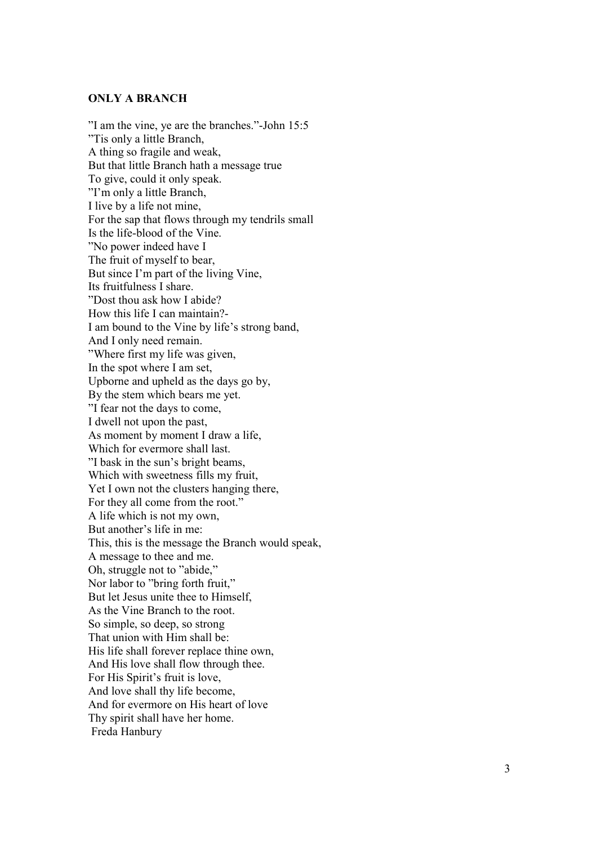#### **ONLY A BRANCH**

I am the vine, ye are the branches."-John 15:5 "Tis only a little Branch, A thing so fragile and weak, But that little Branch hath a message true To give, could it only speak. "I'm only a little Branch, I live by a life not mine, For the sap that flows through my tendrils small Is the life-blood of the Vine. "No power indeed have I The fruit of myself to bear, But since I'm part of the living Vine, Its fruitfulness I share. "Dost thou ask how I abide? How this life I can maintain?-I am bound to the Vine by life's strong band, And I only need remain. "Where first my life was given, In the spot where I am set, Upborne and upheld as the days go by, By the stem which bears me yet. "I fear not the days to come, I dwell not upon the past, As moment by moment I draw a life, Which for evermore shall last. "I bask in the sun's bright beams, Which with sweetness fills my fruit, Yet I own not the clusters hanging there, For they all come from the root." A life which is not my own, But another's life in me: This, this is the message the Branch would speak, A message to thee and me. Oh, struggle not to "abide," Nor labor to "bring forth fruit," But let Jesus unite thee to Himself, As the Vine Branch to the root. So simple, so deep, so strong That union with Him shall be: His life shall forever replace thine own, And His love shall flow through thee. For His Spirit's fruit is love, And love shall thy life become, And for evermore on His heart of love Thy spirit shall have her home. Freda Hanbury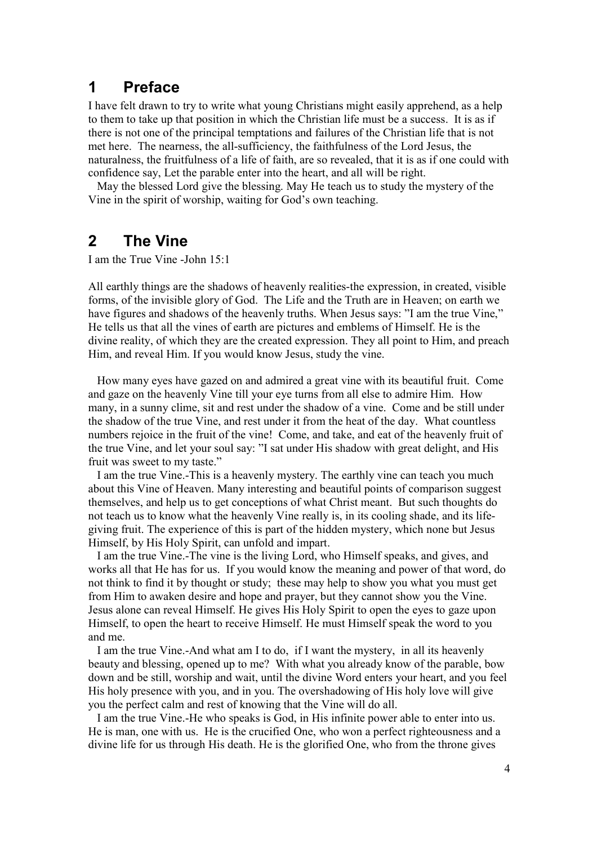### **1 Preface**

I have felt drawn to try to write what young Christians might easily apprehend, as a help to them to take up that position in which the Christian life must be a success. It is as if there is not one of the principal temptations and failures of the Christian life that is not met here. The nearness, the all-sufficiency, the faithfulness of the Lord Jesus, the naturalness, the fruitfulness of a life of faith, are so revealed, that it is as if one could with confidence say, Let the parable enter into the heart, and all will be right.

 May the blessed Lord give the blessing. May He teach us to study the mystery of the Vine in the spirit of worship, waiting for God's own teaching.

# **2 The Vine**

I am the True Vine -John 15:1

All earthly things are the shadows of heavenly realities-the expression, in created, visible forms, of the invisible glory of God. The Life and the Truth are in Heaven; on earth we have figures and shadows of the heavenly truths. When Jesus says: "I am the true Vine," He tells us that all the vines of earth are pictures and emblems of Himself. He is the divine reality, of which they are the created expression. They all point to Him, and preach Him, and reveal Him. If you would know Jesus, study the vine.

How many eyes have gazed on and admired a great vine with its beautiful fruit. Come and gaze on the heavenly Vine till your eye turns from all else to admire Him. How many, in a sunny clime, sit and rest under the shadow of a vine. Come and be still under the shadow of the true Vine, and rest under it from the heat of the day. What countless numbers rejoice in the fruit of the vine! Come, and take, and eat of the heavenly fruit of the true Vine, and let your soul say: "I sat under His shadow with great delight, and His fruit was sweet to my taste."

I am the true Vine.-This is a heavenly mystery. The earthly vine can teach you much about this Vine of Heaven. Many interesting and beautiful points of comparison suggest themselves, and help us to get conceptions of what Christ meant. But such thoughts do not teach us to know what the heavenly Vine really is, in its cooling shade, and its lifegiving fruit. The experience of this is part of the hidden mystery, which none but Jesus Himself, by His Holy Spirit, can unfold and impart.

I am the true Vine.-The vine is the living Lord, who Himself speaks, and gives, and works all that He has for us. If you would know the meaning and power of that word, do not think to find it by thought or study; these may help to show you what you must get from Him to awaken desire and hope and prayer, but they cannot show you the Vine. Jesus alone can reveal Himself. He gives His Holy Spirit to open the eyes to gaze upon Himself, to open the heart to receive Himself. He must Himself speak the word to you and me.

I am the true Vine.-And what am I to do, if I want the mystery, in all its heavenly beauty and blessing, opened up to me? With what you already know of the parable, bow down and be still, worship and wait, until the divine Word enters your heart, and you feel His holy presence with you, and in you. The overshadowing of His holy love will give you the perfect calm and rest of knowing that the Vine will do all.

I am the true Vine.-He who speaks is God, in His infinite power able to enter into us. He is man, one with us. He is the crucified One, who won a perfect righteousness and a divine life for us through His death. He is the glorified One, who from the throne gives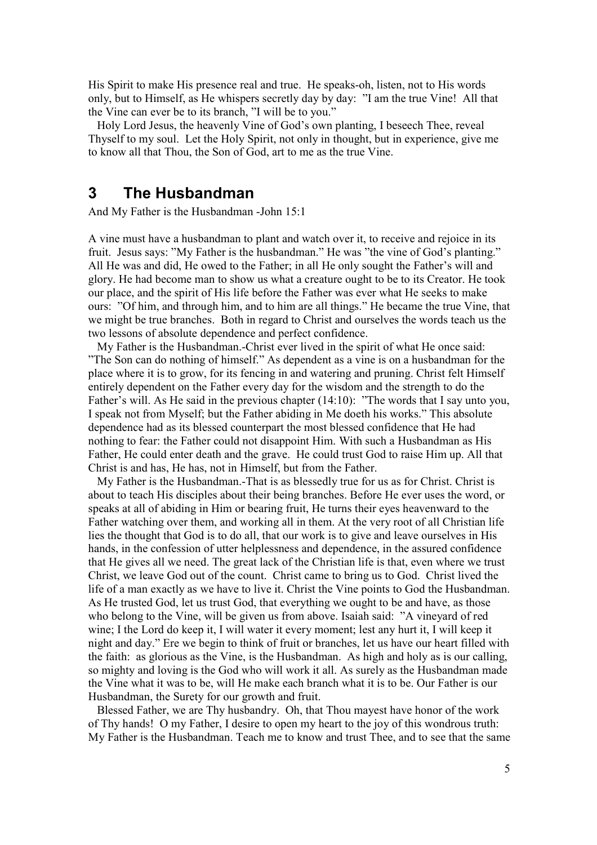His Spirit to make His presence real and true. He speaks-oh, listen, not to His words only, but to Himself, as He whispers secretly day by day: "I am the true Vine! All that the Vine can ever be to its branch, "I will be to you."

Holy Lord Jesus, the heavenly Vine of God's own planting, I beseech Thee, reveal Thyself to my soul. Let the Holy Spirit, not only in thought, but in experience, give me to know all that Thou, the Son of God, art to me as the true Vine.

### **3 The Husbandman**

And My Father is the Husbandman -John 15:1

A vine must have a husbandman to plant and watch over it, to receive and rejoice in its fruit. Jesus says: "My Father is the husbandman." He was "the vine of God's planting." All He was and did, He owed to the Father; in all He only sought the Father's will and glory. He had become man to show us what a creature ought to be to its Creator. He took our place, and the spirit of His life before the Father was ever what He seeks to make ours: "Of him, and through him, and to him are all things." He became the true Vine, that we might be true branches. Both in regard to Christ and ourselves the words teach us the two lessons of absolute dependence and perfect confidence.

My Father is the Husbandman.-Christ ever lived in the spirit of what He once said: "The Son can do nothing of himself." As dependent as a vine is on a husbandman for the place where it is to grow, for its fencing in and watering and pruning. Christ felt Himself entirely dependent on the Father every day for the wisdom and the strength to do the Father's will. As He said in the previous chapter (14:10): "The words that I say unto you, I speak not from Myself; but the Father abiding in Me doeth his works." This absolute dependence had as its blessed counterpart the most blessed confidence that He had nothing to fear: the Father could not disappoint Him. With such a Husbandman as His Father, He could enter death and the grave. He could trust God to raise Him up. All that Christ is and has, He has, not in Himself, but from the Father.

My Father is the Husbandman.-That is as blessedly true for us as for Christ. Christ is about to teach His disciples about their being branches. Before He ever uses the word, or speaks at all of abiding in Him or bearing fruit, He turns their eyes heavenward to the Father watching over them, and working all in them. At the very root of all Christian life lies the thought that God is to do all, that our work is to give and leave ourselves in His hands, in the confession of utter helplessness and dependence, in the assured confidence that He gives all we need. The great lack of the Christian life is that, even where we trust Christ, we leave God out of the count. Christ came to bring us to God. Christ lived the life of a man exactly as we have to live it. Christ the Vine points to God the Husbandman. As He trusted God, let us trust God, that everything we ought to be and have, as those who belong to the Vine, will be given us from above. Isaiah said: "A vineyard of red wine; I the Lord do keep it, I will water it every moment; lest any hurt it, I will keep it night and day." Ere we begin to think of fruit or branches, let us have our heart filled with the faith: as glorious as the Vine, is the Husbandman. As high and holy as is our calling, so mighty and loving is the God who will work it all. As surely as the Husbandman made the Vine what it was to be, will He make each branch what it is to be. Our Father is our Husbandman, the Surety for our growth and fruit.

Blessed Father, we are Thy husbandry. Oh, that Thou mayest have honor of the work of Thy hands! O my Father, I desire to open my heart to the joy of this wondrous truth: My Father is the Husbandman. Teach me to know and trust Thee, and to see that the same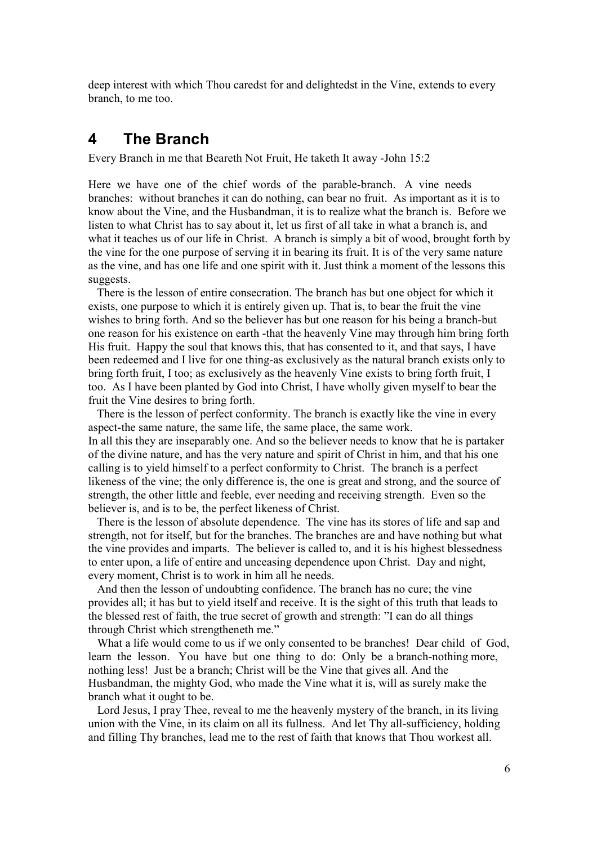deep interest with which Thou caredst for and delightedst in the Vine, extends to every branch, to me too.

### **4 The Branch**

Every Branch in me that Beareth Not Fruit, He taketh It away -John 15:2

Here we have one of the chief words of the parable-branch. A vine needs branches: without branches it can do nothing, can bear no fruit. As important as it is to know about the Vine, and the Husbandman, it is to realize what the branch is. Before we listen to what Christ has to say about it, let us first of all take in what a branch is, and what it teaches us of our life in Christ. A branch is simply a bit of wood, brought forth by the vine for the one purpose of serving it in bearing its fruit. It is of the very same nature as the vine, and has one life and one spirit with it. Just think a moment of the lessons this suggests.

 There is the lesson of entire consecration. The branch has but one object for which it exists, one purpose to which it is entirely given up. That is, to bear the fruit the vine wishes to bring forth. And so the believer has but one reason for his being a branch-but one reason for his existence on earth -that the heavenly Vine may through him bring forth His fruit. Happy the soul that knows this, that has consented to it, and that says, I have been redeemed and I live for one thing-as exclusively as the natural branch exists only to bring forth fruit, I too; as exclusively as the heavenly Vine exists to bring forth fruit, I too. As I have been planted by God into Christ, I have wholly given myself to bear the fruit the Vine desires to bring forth.

 There is the lesson of perfect conformity. The branch is exactly like the vine in every aspect-the same nature, the same life, the same place, the same work. In all this they are inseparably one. And so the believer needs to know that he is partaker of the divine nature, and has the very nature and spirit of Christ in him, and that his one calling is to yield himself to a perfect conformity to Christ. The branch is a perfect likeness of the vine; the only difference is, the one is great and strong, and the source of strength, the other little and feeble, ever needing and receiving strength. Even so the believer is, and is to be, the perfect likeness of Christ.

 There is the lesson of absolute dependence. The vine has its stores of life and sap and strength, not for itself, but for the branches. The branches are and have nothing but what the vine provides and imparts. The believer is called to, and it is his highest blessedness to enter upon, a life of entire and unceasing dependence upon Christ. Day and night, every moment, Christ is to work in him all he needs.

And then the lesson of undoubting confidence. The branch has no cure; the vine provides all; it has but to yield itself and receive. It is the sight of this truth that leads to the blessed rest of faith, the true secret of growth and strength: "I can do all things through Christ which strengtheneth me."

 What a life would come to us if we only consented to be branches! Dear child of God, learn the lesson. You have but one thing to do: Only be a branch-nothing more, nothing less! Just be a branch; Christ will be the Vine that gives all. And the Husbandman, the mighty God, who made the Vine what it is, will as surely make the branch what it ought to be.

 Lord Jesus, I pray Thee, reveal to me the heavenly mystery of the branch, in its living union with the Vine, in its claim on all its fullness. And let Thy all-sufficiency, holding and filling Thy branches, lead me to the rest of faith that knows that Thou workest all.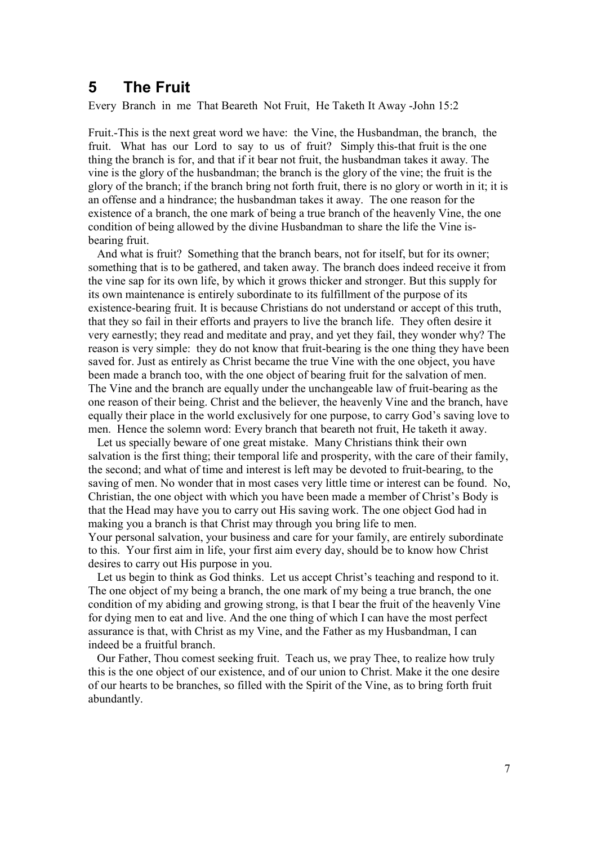### **5 The Fruit**

Every Branch in me That Beareth Not Fruit, He Taketh It Away -John 15:2

Fruit.-This is the next great word we have: the Vine, the Husbandman, the branch, the fruit. What has our Lord to say to us of fruit? Simply this-that fruit is the one thing the branch is for, and that if it bear not fruit, the husbandman takes it away. The vine is the glory of the husbandman; the branch is the glory of the vine; the fruit is the glory of the branch; if the branch bring not forth fruit, there is no glory or worth in it; it is an offense and a hindrance; the husbandman takes it away. The one reason for the existence of a branch, the one mark of being a true branch of the heavenly Vine, the one condition of being allowed by the divine Husbandman to share the life the Vine isbearing fruit.

And what is fruit? Something that the branch bears, not for itself, but for its owner; something that is to be gathered, and taken away. The branch does indeed receive it from the vine sap for its own life, by which it grows thicker and stronger. But this supply for its own maintenance is entirely subordinate to its fulfillment of the purpose of its existence-bearing fruit. It is because Christians do not understand or accept of this truth, that they so fail in their efforts and prayers to live the branch life. They often desire it very earnestly; they read and meditate and pray, and yet they fail, they wonder why? The reason is very simple: they do not know that fruit-bearing is the one thing they have been saved for. Just as entirely as Christ became the true Vine with the one object, you have been made a branch too, with the one object of bearing fruit for the salvation of men. The Vine and the branch are equally under the unchangeable law of fruit-bearing as the one reason of their being. Christ and the believer, the heavenly Vine and the branch, have equally their place in the world exclusively for one purpose, to carry God's saving love to men. Hence the solemn word: Every branch that beareth not fruit, He taketh it away.

 Let us specially beware of one great mistake. Many Christians think their own salvation is the first thing; their temporal life and prosperity, with the care of their family, the second; and what of time and interest is left may be devoted to fruit-bearing, to the saving of men. No wonder that in most cases very little time or interest can be found. No, Christian, the one object with which you have been made a member of Christ's Body is that the Head may have you to carry out His saving work. The one object God had in making you a branch is that Christ may through you bring life to men.

Your personal salvation, your business and care for your family, are entirely subordinate to this. Your first aim in life, your first aim every day, should be to know how Christ desires to carry out His purpose in you.

Let us begin to think as God thinks. Let us accept Christ's teaching and respond to it. The one object of my being a branch, the one mark of my being a true branch, the one condition of my abiding and growing strong, is that I bear the fruit of the heavenly Vine for dying men to eat and live. And the one thing of which I can have the most perfect assurance is that, with Christ as my Vine, and the Father as my Husbandman, I can indeed be a fruitful branch.

Our Father, Thou comest seeking fruit. Teach us, we pray Thee, to realize how truly this is the one object of our existence, and of our union to Christ. Make it the one desire of our hearts to be branches, so filled with the Spirit of the Vine, as to bring forth fruit abundantly.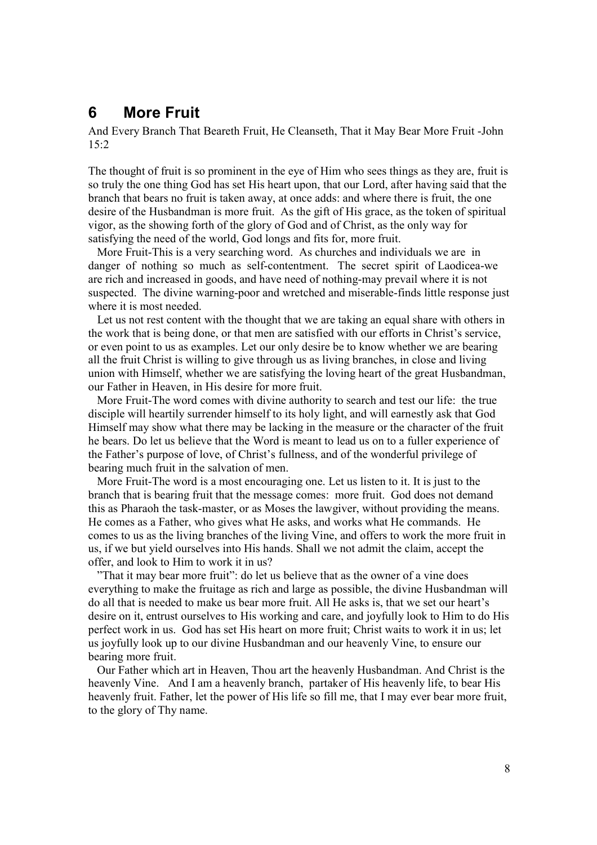# **6 More Fruit**

And Every Branch That Beareth Fruit, He Cleanseth, That it May Bear More Fruit -John 15:2

The thought of fruit is so prominent in the eye of Him who sees things as they are, fruit is so truly the one thing God has set His heart upon, that our Lord, after having said that the branch that bears no fruit is taken away, at once adds: and where there is fruit, the one desire of the Husbandman is more fruit. As the gift of His grace, as the token of spiritual vigor, as the showing forth of the glory of God and of Christ, as the only way for satisfying the need of the world, God longs and fits for, more fruit.

 More Fruit-This is a very searching word. As churches and individuals we are in danger of nothing so much as self-contentment. The secret spirit of Laodicea-we are rich and increased in goods, and have need of nothing-may prevail where it is not suspected. The divine warning-poor and wretched and miserable-finds little response just where it is most needed.

 Let us not rest content with the thought that we are taking an equal share with others in the work that is being done, or that men are satisfied with our efforts in Christ's service, or even point to us as examples. Let our only desire be to know whether we are bearing all the fruit Christ is willing to give through us as living branches, in close and living union with Himself, whether we are satisfying the loving heart of the great Husbandman, our Father in Heaven, in His desire for more fruit.

 More Fruit-The word comes with divine authority to search and test our life: the true disciple will heartily surrender himself to its holy light, and will earnestly ask that God Himself may show what there may be lacking in the measure or the character of the fruit he bears. Do let us believe that the Word is meant to lead us on to a fuller experience of the Father's purpose of love, of Christ's fullness, and of the wonderful privilege of bearing much fruit in the salvation of men.

 More Fruit-The word is a most encouraging one. Let us listen to it. It is just to the branch that is bearing fruit that the message comes: more fruit. God does not demand this as Pharaoh the task-master, or as Moses the lawgiver, without providing the means. He comes as a Father, who gives what He asks, and works what He commands. He comes to us as the living branches of the living Vine, and offers to work the more fruit in us, if we but yield ourselves into His hands. Shall we not admit the claim, accept the offer, and look to Him to work it in us?

"That it may bear more fruit": do let us believe that as the owner of a vine does everything to make the fruitage as rich and large as possible, the divine Husbandman will do all that is needed to make us bear more fruit. All He asks is, that we set our heart's desire on it, entrust ourselves to His working and care, and joyfully look to Him to do His perfect work in us. God has set His heart on more fruit; Christ waits to work it in us; let us joyfully look up to our divine Husbandman and our heavenly Vine, to ensure our bearing more fruit.

Our Father which art in Heaven, Thou art the heavenly Husbandman. And Christ is the heavenly Vine. And I am a heavenly branch, partaker of His heavenly life, to bear His heavenly fruit. Father, let the power of His life so fill me, that I may ever bear more fruit, to the glory of Thy name.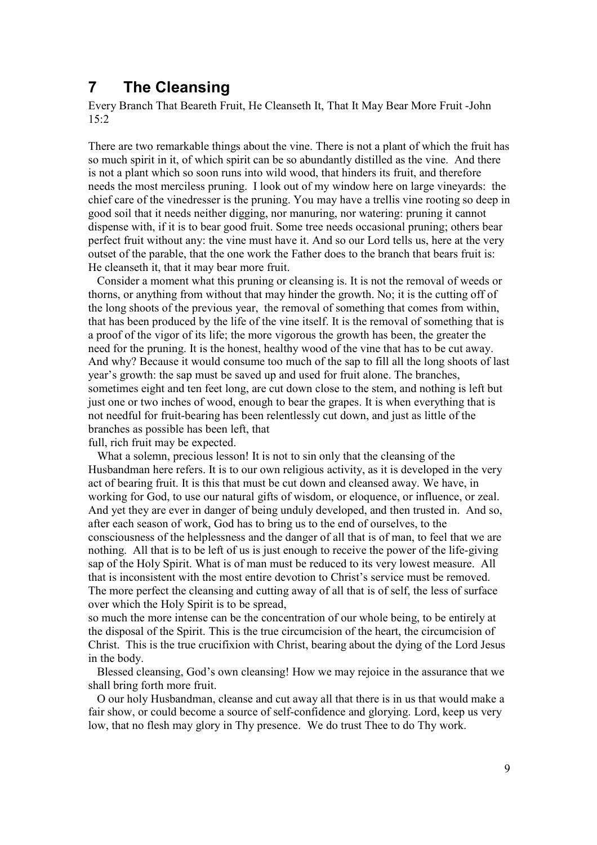# **7 The Cleansing**

Every Branch That Beareth Fruit, He Cleanseth It, That It May Bear More Fruit -John  $15:2$ 

There are two remarkable things about the vine. There is not a plant of which the fruit has so much spirit in it, of which spirit can be so abundantly distilled as the vine. And there is not a plant which so soon runs into wild wood, that hinders its fruit, and therefore needs the most merciless pruning. I look out of my window here on large vineyards: the chief care of the vinedresser is the pruning. You may have a trellis vine rooting so deep in good soil that it needs neither digging, nor manuring, nor watering: pruning it cannot dispense with, if it is to bear good fruit. Some tree needs occasional pruning; others bear perfect fruit without any: the vine must have it. And so our Lord tells us, here at the very outset of the parable, that the one work the Father does to the branch that bears fruit is: He cleanseth it, that it may bear more fruit.

Consider a moment what this pruning or cleansing is. It is not the removal of weeds or thorns, or anything from without that may hinder the growth. No; it is the cutting off of the long shoots of the previous year, the removal of something that comes from within, that has been produced by the life of the vine itself. It is the removal of something that is a proof of the vigor of its life; the more vigorous the growth has been, the greater the need for the pruning. It is the honest, healthy wood of the vine that has to be cut away. And why? Because it would consume too much of the sap to fill all the long shoots of last year's growth: the sap must be saved up and used for fruit alone. The branches, sometimes eight and ten feet long, are cut down close to the stem, and nothing is left but just one or two inches of wood, enough to bear the grapes. It is when everything that is not needful for fruit-bearing has been relentlessly cut down, and just as little of the branches as possible has been left, that

full, rich fruit may be expected.

What a solemn, precious lesson! It is not to sin only that the cleansing of the Husbandman here refers. It is to our own religious activity, as it is developed in the very act of bearing fruit. It is this that must be cut down and cleansed away. We have, in working for God, to use our natural gifts of wisdom, or eloquence, or influence, or zeal. And yet they are ever in danger of being unduly developed, and then trusted in. And so, after each season of work, God has to bring us to the end of ourselves, to the consciousness of the helplessness and the danger of all that is of man, to feel that we are nothing. All that is to be left of us is just enough to receive the power of the life-giving sap of the Holy Spirit. What is of man must be reduced to its very lowest measure. All that is inconsistent with the most entire devotion to Christ's service must be removed. The more perfect the cleansing and cutting away of all that is of self, the less of surface over which the Holy Spirit is to be spread,

so much the more intense can be the concentration of our whole being, to be entirely at the disposal of the Spirit. This is the true circumcision of the heart, the circumcision of Christ. This is the true crucifixion with Christ, bearing about the dying of the Lord Jesus in the body.

Blessed cleansing, God's own cleansing! How we may rejoice in the assurance that we shall bring forth more fruit.

O our holy Husbandman, cleanse and cut away all that there is in us that would make a fair show, or could become a source of self-confidence and glorying. Lord, keep us very low, that no flesh may glory in Thy presence. We do trust Thee to do Thy work.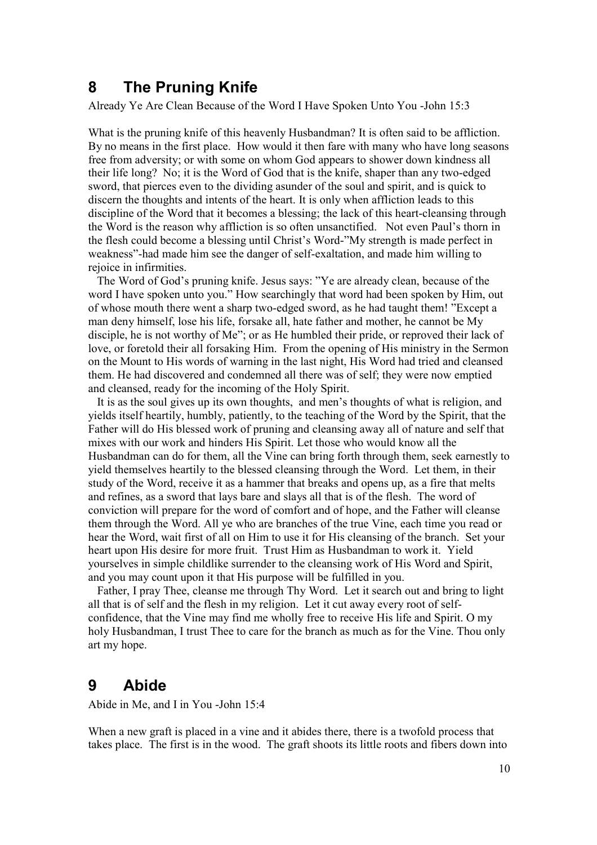### **8 The Pruning Knife**

Already Ye Are Clean Because of the Word I Have Spoken Unto You -John 15:3

What is the pruning knife of this heavenly Husbandman? It is often said to be affliction. By no means in the first place. How would it then fare with many who have long seasons free from adversity; or with some on whom God appears to shower down kindness all their life long? No; it is the Word of God that is the knife, shaper than any two-edged sword, that pierces even to the dividing asunder of the soul and spirit, and is quick to discern the thoughts and intents of the heart. It is only when affliction leads to this discipline of the Word that it becomes a blessing; the lack of this heart-cleansing through the Word is the reason why affliction is so often unsanctified. Not even Paul's thorn in the flesh could become a blessing until Christ's Word-"My strength is made perfect in weakness"-had made him see the danger of self-exaltation, and made him willing to rejoice in infirmities.

 The Word of God's pruning knife. Jesus says: "Ye are already clean, because of the word I have spoken unto you." How searchingly that word had been spoken by Him, out of whose mouth there went a sharp two-edged sword, as he had taught them! "Except a man deny himself, lose his life, forsake all, hate father and mother, he cannot be My disciple, he is not worthy of Me"; or as He humbled their pride, or reproved their lack of love, or foretold their all forsaking Him. From the opening of His ministry in the Sermon on the Mount to His words of warning in the last night, His Word had tried and cleansed them. He had discovered and condemned all there was of self; they were now emptied and cleansed, ready for the incoming of the Holy Spirit.

It is as the soul gives up its own thoughts, and men's thoughts of what is religion, and yields itself heartily, humbly, patiently, to the teaching of the Word by the Spirit, that the Father will do His blessed work of pruning and cleansing away all of nature and self that mixes with our work and hinders His Spirit. Let those who would know all the Husbandman can do for them, all the Vine can bring forth through them, seek earnestly to yield themselves heartily to the blessed cleansing through the Word. Let them, in their study of the Word, receive it as a hammer that breaks and opens up, as a fire that melts and refines, as a sword that lays bare and slays all that is of the flesh. The word of conviction will prepare for the word of comfort and of hope, and the Father will cleanse them through the Word. All ye who are branches of the true Vine, each time you read or hear the Word, wait first of all on Him to use it for His cleansing of the branch. Set your heart upon His desire for more fruit. Trust Him as Husbandman to work it. Yield yourselves in simple childlike surrender to the cleansing work of His Word and Spirit, and you may count upon it that His purpose will be fulfilled in you.

 Father, I pray Thee, cleanse me through Thy Word. Let it search out and bring to light all that is of self and the flesh in my religion. Let it cut away every root of selfconfidence, that the Vine may find me wholly free to receive His life and Spirit. O my holy Husbandman, I trust Thee to care for the branch as much as for the Vine. Thou only art my hope.

# **9 Abide**

Abide in Me, and I in You -John 15:4

When a new graft is placed in a vine and it abides there, there is a twofold process that takes place. The first is in the wood. The graft shoots its little roots and fibers down into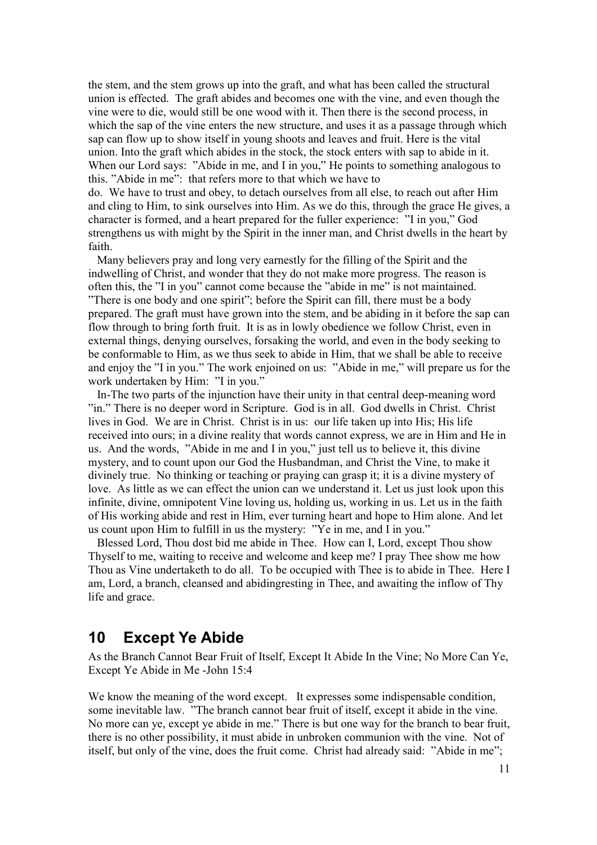the stem, and the stem grows up into the graft, and what has been called the structural union is effected. The graft abides and becomes one with the vine, and even though the vine were to die, would still be one wood with it. Then there is the second process, in which the sap of the vine enters the new structure, and uses it as a passage through which sap can flow up to show itself in young shoots and leaves and fruit. Here is the vital union. Into the graft which abides in the stock, the stock enters with sap to abide in it. When our Lord says: "Abide in me, and I in you," He points to something analogous to this. "Abide in me": that refers more to that which we have to do. We have to trust and obey, to detach ourselves from all else, to reach out after Him and cling to Him, to sink ourselves into Him. As we do this, through the grace He gives, a

character is formed, and a heart prepared for the fuller experience: "I in you," God strengthens us with might by the Spirit in the inner man, and Christ dwells in the heart by faith.

 Many believers pray and long very earnestly for the filling of the Spirit and the indwelling of Christ, and wonder that they do not make more progress. The reason is often this, the "I in you" cannot come because the "abide in me" is not maintained. "There is one body and one spirit"; before the Spirit can fill, there must be a body prepared. The graft must have grown into the stem, and be abiding in it before the sap can flow through to bring forth fruit. It is as in lowly obedience we follow Christ, even in external things, denying ourselves, forsaking the world, and even in the body seeking to be conformable to Him, as we thus seek to abide in Him, that we shall be able to receive and enjoy the "I in you." The work enjoined on us: "Abide in me," will prepare us for the work undertaken by Him: "I in you."

In-The two parts of the injunction have their unity in that central deep-meaning word "in." There is no deeper word in Scripture. God is in all. God dwells in Christ. Christ lives in God. We are in Christ. Christ is in us: our life taken up into His; His life received into ours; in a divine reality that words cannot express, we are in Him and He in us. And the words, "Abide in me and I in you," just tell us to believe it, this divine mystery, and to count upon our God the Husbandman, and Christ the Vine, to make it divinely true. No thinking or teaching or praying can grasp it; it is a divine mystery of love. As little as we can effect the union can we understand it. Let us just look upon this infinite, divine, omnipotent Vine loving us, holding us, working in us. Let us in the faith of His working abide and rest in Him, ever turning heart and hope to Him alone. And let us count upon Him to fulfill in us the mystery: "Ye in me, and I in you."

Blessed Lord, Thou dost bid me abide in Thee. How can I, Lord, except Thou show Thyself to me, waiting to receive and welcome and keep me? I pray Thee show me how Thou as Vine undertaketh to do all. To be occupied with Thee is to abide in Thee. Here I am, Lord, a branch, cleansed and abidingresting in Thee, and awaiting the inflow of Thy life and grace.

# **10 Except Ye Abide**

As the Branch Cannot Bear Fruit of Itself, Except It Abide In the Vine; No More Can Ye, Except Ye Abide in Me -John 15:4

We know the meaning of the word except. It expresses some indispensable condition, some inevitable law. "The branch cannot bear fruit of itself, except it abide in the vine. No more can ye, except ye abide in me." There is but one way for the branch to bear fruit, there is no other possibility, it must abide in unbroken communion with the vine. Not of itself, but only of the vine, does the fruit come. Christ had already said: "Abide in me";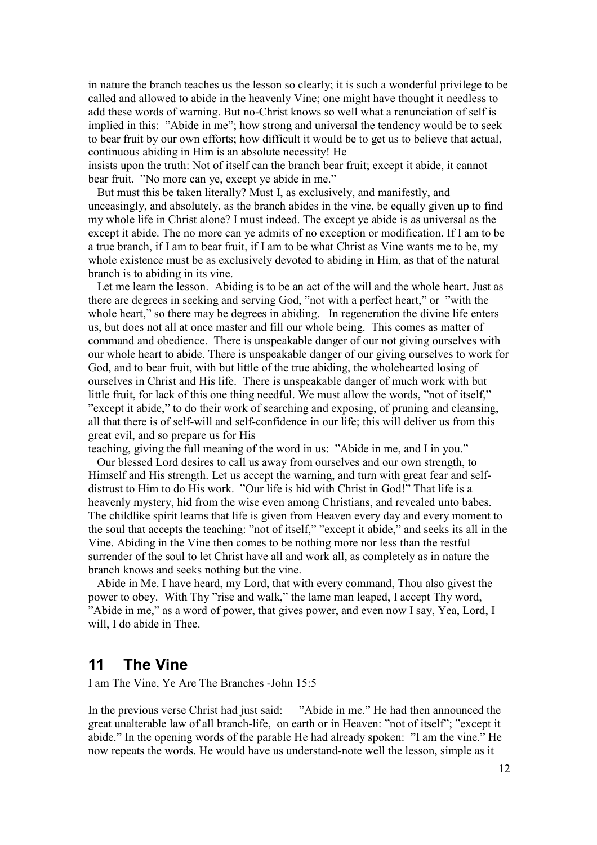in nature the branch teaches us the lesson so clearly; it is such a wonderful privilege to be called and allowed to abide in the heavenly Vine; one might have thought it needless to add these words of warning. But no-Christ knows so well what a renunciation of self is implied in this: "Abide in me"; how strong and universal the tendency would be to seek to bear fruit by our own efforts; how difficult it would be to get us to believe that actual, continuous abiding in Him is an absolute necessity! He

insists upon the truth: Not of itself can the branch bear fruit; except it abide, it cannot bear fruit. "No more can ye, except ye abide in me."

But must this be taken literally? Must I, as exclusively, and manifestly, and unceasingly, and absolutely, as the branch abides in the vine, be equally given up to find my whole life in Christ alone? I must indeed. The except ye abide is as universal as the except it abide. The no more can ye admits of no exception or modification. If I am to be a true branch, if I am to bear fruit, if I am to be what Christ as Vine wants me to be, my whole existence must be as exclusively devoted to abiding in Him, as that of the natural branch is to abiding in its vine.

 Let me learn the lesson. Abiding is to be an act of the will and the whole heart. Just as there are degrees in seeking and serving God, "not with a perfect heart," or "with the whole heart," so there may be degrees in abiding. In regeneration the divine life enters us, but does not all at once master and fill our whole being. This comes as matter of command and obedience. There is unspeakable danger of our not giving ourselves with our whole heart to abide. There is unspeakable danger of our giving ourselves to work for God, and to bear fruit, with but little of the true abiding, the wholehearted losing of ourselves in Christ and His life. There is unspeakable danger of much work with but little fruit, for lack of this one thing needful. We must allow the words, "not of itself," "except it abide," to do their work of searching and exposing, of pruning and cleansing, all that there is of self-will and self-confidence in our life; this will deliver us from this great evil, and so prepare us for His

teaching, giving the full meaning of the word in us: "Abide in me, and I in you."

Our blessed Lord desires to call us away from ourselves and our own strength, to Himself and His strength. Let us accept the warning, and turn with great fear and selfdistrust to Him to do His work. "Our life is hid with Christ in God!" That life is a heavenly mystery, hid from the wise even among Christians, and revealed unto babes. The childlike spirit learns that life is given from Heaven every day and every moment to the soul that accepts the teaching: "not of itself," "except it abide," and seeks its all in the Vine. Abiding in the Vine then comes to be nothing more nor less than the restful surrender of the soul to let Christ have all and work all, as completely as in nature the branch knows and seeks nothing but the vine.

Abide in Me. I have heard, my Lord, that with every command, Thou also givest the power to obey. With Thy "rise and walk," the lame man leaped, I accept Thy word, "Abide in me," as a word of power, that gives power, and even now I say, Yea, Lord, I will, I do abide in Thee.

### **11 The Vine**

I am The Vine, Ye Are The Branches -John 15:5

In the previous verse Christ had just said: "Abide in me." He had then announced the great unalterable law of all branch-life, on earth or in Heaven: "not of itself"; "except it abide." In the opening words of the parable He had already spoken: "I am the vine." He now repeats the words. He would have us understand-note well the lesson, simple as it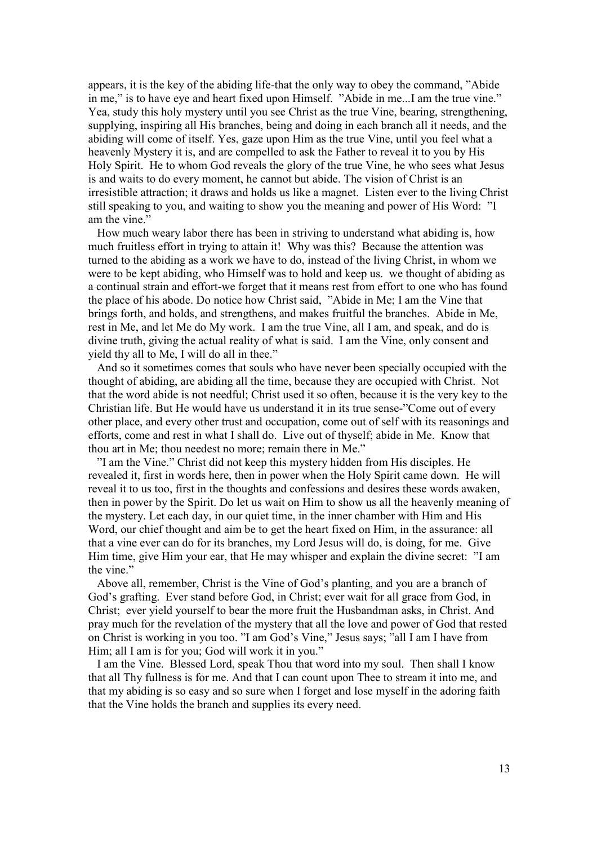appears, it is the key of the abiding life-that the only way to obey the command, "Abide in me," is to have eye and heart fixed upon Himself. "Abide in me...I am the true vine." Yea, study this holy mystery until you see Christ as the true Vine, bearing, strengthening, supplying, inspiring all His branches, being and doing in each branch all it needs, and the abiding will come of itself. Yes, gaze upon Him as the true Vine, until you feel what a heavenly Mystery it is, and are compelled to ask the Father to reveal it to you by His Holy Spirit. He to whom God reveals the glory of the true Vine, he who sees what Jesus is and waits to do every moment, he cannot but abide. The vision of Christ is an irresistible attraction; it draws and holds us like a magnet. Listen ever to the living Christ still speaking to you, and waiting to show you the meaning and power of His Word: "I am the vine."

How much weary labor there has been in striving to understand what abiding is, how much fruitless effort in trying to attain it! Why was this? Because the attention was turned to the abiding as a work we have to do, instead of the living Christ, in whom we were to be kept abiding, who Himself was to hold and keep us. we thought of abiding as a continual strain and effort-we forget that it means rest from effort to one who has found the place of his abode. Do notice how Christ said, "Abide in Me; I am the Vine that brings forth, and holds, and strengthens, and makes fruitful the branches. Abide in Me, rest in Me, and let Me do My work. I am the true Vine, all I am, and speak, and do is divine truth, giving the actual reality of what is said. I am the Vine, only consent and yield thy all to Me, I will do all in thee."

And so it sometimes comes that souls who have never been specially occupied with the thought of abiding, are abiding all the time, because they are occupied with Christ. Not that the word abide is not needful; Christ used it so often, because it is the very key to the Christian life. But He would have us understand it in its true sense-"Come out of every other place, and every other trust and occupation, come out of self with its reasonings and efforts, come and rest in what I shall do. Live out of thyself; abide in Me. Know that thou art in Me; thou needest no more; remain there in Me."

"I am the Vine." Christ did not keep this mystery hidden from His disciples. He revealed it, first in words here, then in power when the Holy Spirit came down. He will reveal it to us too, first in the thoughts and confessions and desires these words awaken, then in power by the Spirit. Do let us wait on Him to show us all the heavenly meaning of the mystery. Let each day, in our quiet time, in the inner chamber with Him and His Word, our chief thought and aim be to get the heart fixed on Him, in the assurance: all that a vine ever can do for its branches, my Lord Jesus will do, is doing, for me. Give Him time, give Him your ear, that He may whisper and explain the divine secret: "I am the vine."

Above all, remember, Christ is the Vine of God's planting, and you are a branch of God's grafting. Ever stand before God, in Christ; ever wait for all grace from God, in Christ; ever yield yourself to bear the more fruit the Husbandman asks, in Christ. And pray much for the revelation of the mystery that all the love and power of God that rested on Christ is working in you too. "I am God's Vine," Jesus says; "all I am I have from Him; all I am is for you; God will work it in you."

I am the Vine. Blessed Lord, speak Thou that word into my soul. Then shall I know that all Thy fullness is for me. And that I can count upon Thee to stream it into me, and that my abiding is so easy and so sure when I forget and lose myself in the adoring faith that the Vine holds the branch and supplies its every need.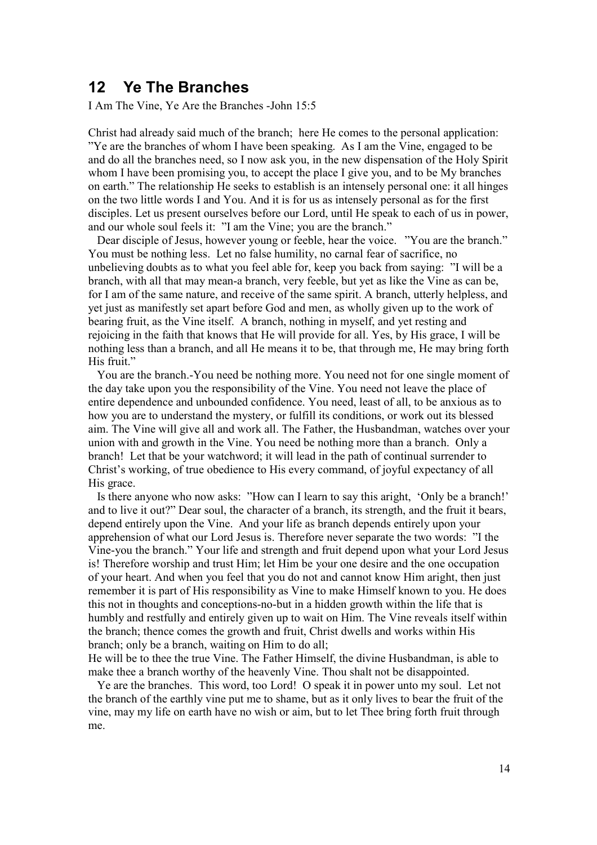### **12 Ye The Branches**

I Am The Vine, Ye Are the Branches -John 15:5

Christ had already said much of the branch; here He comes to the personal application: "Ye are the branches of whom I have been speaking. As I am the Vine, engaged to be and do all the branches need, so I now ask you, in the new dispensation of the Holy Spirit whom I have been promising you, to accept the place I give you, and to be My branches on earth." The relationship He seeks to establish is an intensely personal one: it all hinges on the two little words I and You. And it is for us as intensely personal as for the first disciples. Let us present ourselves before our Lord, until He speak to each of us in power, and our whole soul feels it: "I am the Vine; you are the branch."

Dear disciple of Jesus, however young or feeble, hear the voice. "You are the branch." You must be nothing less. Let no false humility, no carnal fear of sacrifice, no unbelieving doubts as to what you feel able for, keep you back from saying: "I will be a branch, with all that may mean-a branch, very feeble, but yet as like the Vine as can be, for I am of the same nature, and receive of the same spirit. A branch, utterly helpless, and yet just as manifestly set apart before God and men, as wholly given up to the work of bearing fruit, as the Vine itself. A branch, nothing in myself, and yet resting and rejoicing in the faith that knows that He will provide for all. Yes, by His grace, I will be nothing less than a branch, and all He means it to be, that through me, He may bring forth His fruit."

You are the branch.-You need be nothing more. You need not for one single moment of the day take upon you the responsibility of the Vine. You need not leave the place of entire dependence and unbounded confidence. You need, least of all, to be anxious as to how you are to understand the mystery, or fulfill its conditions, or work out its blessed aim. The Vine will give all and work all. The Father, the Husbandman, watches over your union with and growth in the Vine. You need be nothing more than a branch. Only a branch! Let that be your watchword; it will lead in the path of continual surrender to Christ's working, of true obedience to His every command, of joyful expectancy of all His grace.

Is there anyone who now asks: "How can I learn to say this aright, 'Only be a branch!' and to live it out?" Dear soul, the character of a branch, its strength, and the fruit it bears, depend entirely upon the Vine. And your life as branch depends entirely upon your apprehension of what our Lord Jesus is. Therefore never separate the two words: "I the Vine-you the branch." Your life and strength and fruit depend upon what your Lord Jesus is! Therefore worship and trust Him; let Him be your one desire and the one occupation of your heart. And when you feel that you do not and cannot know Him aright, then just remember it is part of His responsibility as Vine to make Himself known to you. He does this not in thoughts and conceptions-no-but in a hidden growth within the life that is humbly and restfully and entirely given up to wait on Him. The Vine reveals itself within the branch; thence comes the growth and fruit, Christ dwells and works within His branch; only be a branch, waiting on Him to do all;

He will be to thee the true Vine. The Father Himself, the divine Husbandman, is able to make thee a branch worthy of the heavenly Vine. Thou shalt not be disappointed.

Ye are the branches. This word, too Lord! O speak it in power unto my soul. Let not the branch of the earthly vine put me to shame, but as it only lives to bear the fruit of the vine, may my life on earth have no wish or aim, but to let Thee bring forth fruit through me.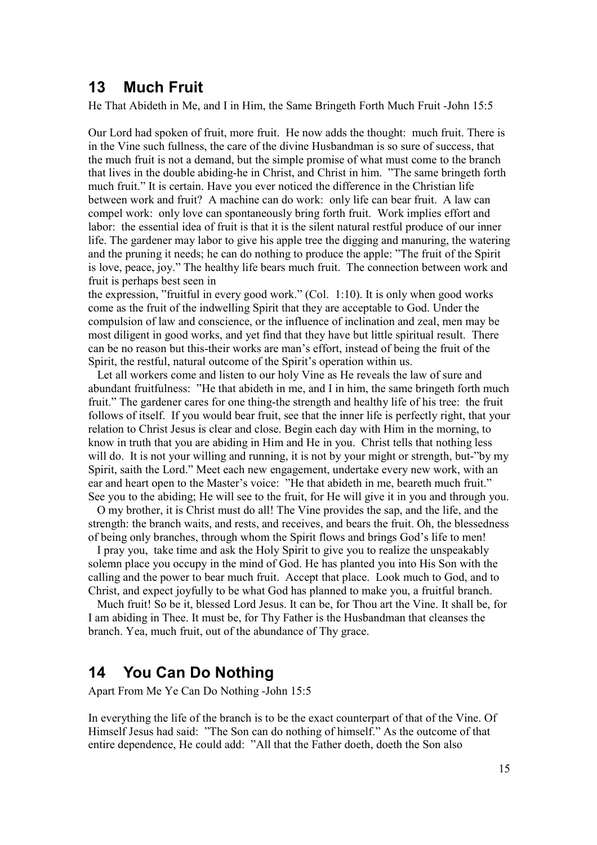### **13 Much Fruit**

He That Abideth in Me, and I in Him, the Same Bringeth Forth Much Fruit -John 15:5

Our Lord had spoken of fruit, more fruit. He now adds the thought: much fruit. There is in the Vine such fullness, the care of the divine Husbandman is so sure of success, that the much fruit is not a demand, but the simple promise of what must come to the branch that lives in the double abiding-he in Christ, and Christ in him. "The same bringeth forth much fruit." It is certain. Have you ever noticed the difference in the Christian life between work and fruit? A machine can do work: only life can bear fruit. A law can compel work: only love can spontaneously bring forth fruit. Work implies effort and labor: the essential idea of fruit is that it is the silent natural restful produce of our inner life. The gardener may labor to give his apple tree the digging and manuring, the watering and the pruning it needs; he can do nothing to produce the apple: "The fruit of the Spirit is love, peace, joy." The healthy life bears much fruit. The connection between work and fruit is perhaps best seen in

the expression, "fruitful in every good work." (Col. 1:10). It is only when good works come as the fruit of the indwelling Spirit that they are acceptable to God. Under the compulsion of law and conscience, or the influence of inclination and zeal, men may be most diligent in good works, and yet find that they have but little spiritual result. There can be no reason but this-their works are man's effort, instead of being the fruit of the Spirit, the restful, natural outcome of the Spirit's operation within us.

 Let all workers come and listen to our holy Vine as He reveals the law of sure and abundant fruitfulness: "He that abideth in me, and I in him, the same bringeth forth much fruit." The gardener cares for one thing-the strength and healthy life of his tree: the fruit follows of itself. If you would bear fruit, see that the inner life is perfectly right, that your relation to Christ Jesus is clear and close. Begin each day with Him in the morning, to know in truth that you are abiding in Him and He in you. Christ tells that nothing less will do. It is not your willing and running, it is not by your might or strength, but-"by my Spirit, saith the Lord." Meet each new engagement, undertake every new work, with an ear and heart open to the Master's voice: "He that abideth in me, beareth much fruit." See you to the abiding; He will see to the fruit, for He will give it in you and through you.

O my brother, it is Christ must do all! The Vine provides the sap, and the life, and the strength: the branch waits, and rests, and receives, and bears the fruit. Oh, the blessedness of being only branches, through whom the Spirit flows and brings God's life to men!

I pray you, take time and ask the Holy Spirit to give you to realize the unspeakably solemn place you occupy in the mind of God. He has planted you into His Son with the calling and the power to bear much fruit. Accept that place. Look much to God, and to Christ, and expect joyfully to be what God has planned to make you, a fruitful branch.

 Much fruit! So be it, blessed Lord Jesus. It can be, for Thou art the Vine. It shall be, for I am abiding in Thee. It must be, for Thy Father is the Husbandman that cleanses the branch. Yea, much fruit, out of the abundance of Thy grace.

### **14 You Can Do Nothing**

Apart From Me Ye Can Do Nothing -John 15:5

In everything the life of the branch is to be the exact counterpart of that of the Vine. Of Himself Jesus had said: "The Son can do nothing of himself." As the outcome of that entire dependence, He could add: "All that the Father doeth, doeth the Son also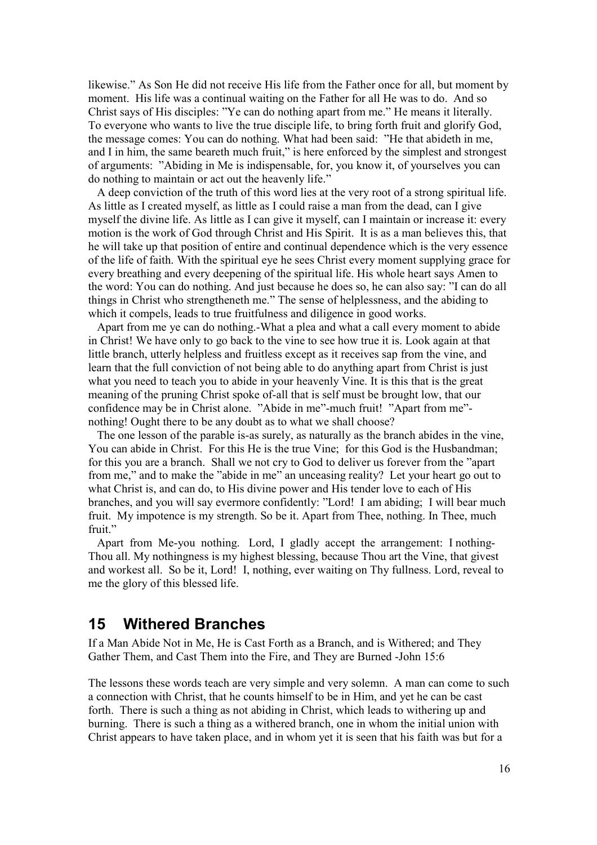likewise." As Son He did not receive His life from the Father once for all, but moment by moment. His life was a continual waiting on the Father for all He was to do. And so Christ says of His disciples: "Ye can do nothing apart from me." He means it literally. To everyone who wants to live the true disciple life, to bring forth fruit and glorify God, the message comes: You can do nothing. What had been said: "He that abideth in me, and I in him, the same beareth much fruit," is here enforced by the simplest and strongest of arguments: "Abiding in Me is indispensable, for, you know it, of yourselves you can do nothing to maintain or act out the heavenly life."

A deep conviction of the truth of this word lies at the very root of a strong spiritual life. As little as I created myself, as little as I could raise a man from the dead, can I give myself the divine life. As little as I can give it myself, can I maintain or increase it: every motion is the work of God through Christ and His Spirit. It is as a man believes this, that he will take up that position of entire and continual dependence which is the very essence of the life of faith. With the spiritual eye he sees Christ every moment supplying grace for every breathing and every deepening of the spiritual life. His whole heart says Amen to the word: You can do nothing. And just because he does so, he can also say: "I can do all things in Christ who strengtheneth me." The sense of helplessness, and the abiding to which it compels, leads to true fruitfulness and diligence in good works.

Apart from me ye can do nothing.-What a plea and what a call every moment to abide in Christ! We have only to go back to the vine to see how true it is. Look again at that little branch, utterly helpless and fruitless except as it receives sap from the vine, and learn that the full conviction of not being able to do anything apart from Christ is just what you need to teach you to abide in your heavenly Vine. It is this that is the great meaning of the pruning Christ spoke of-all that is self must be brought low, that our confidence may be in Christ alone. "Abide in me"-much fruit! "Apart from me" nothing! Ought there to be any doubt as to what we shall choose?

 The one lesson of the parable is-as surely, as naturally as the branch abides in the vine, You can abide in Christ. For this He is the true Vine; for this God is the Husbandman; for this you are a branch. Shall we not cry to God to deliver us forever from the "apart from me," and to make the "abide in me" an unceasing reality? Let your heart go out to what Christ is, and can do, to His divine power and His tender love to each of His branches, and you will say evermore confidently: "Lord! I am abiding; I will bear much fruit. My impotence is my strength. So be it. Apart from Thee, nothing. In Thee, much fruit."

Apart from Me-you nothing. Lord, I gladly accept the arrangement: I nothing-Thou all. My nothingness is my highest blessing, because Thou art the Vine, that givest and workest all. So be it, Lord! I, nothing, ever waiting on Thy fullness. Lord, reveal to me the glory of this blessed life.

### **15 Withered Branches**

If a Man Abide Not in Me, He is Cast Forth as a Branch, and is Withered; and They Gather Them, and Cast Them into the Fire, and They are Burned -John 15:6

The lessons these words teach are very simple and very solemn. A man can come to such a connection with Christ, that he counts himself to be in Him, and yet he can be cast forth. There is such a thing as not abiding in Christ, which leads to withering up and burning. There is such a thing as a withered branch, one in whom the initial union with Christ appears to have taken place, and in whom yet it is seen that his faith was but for a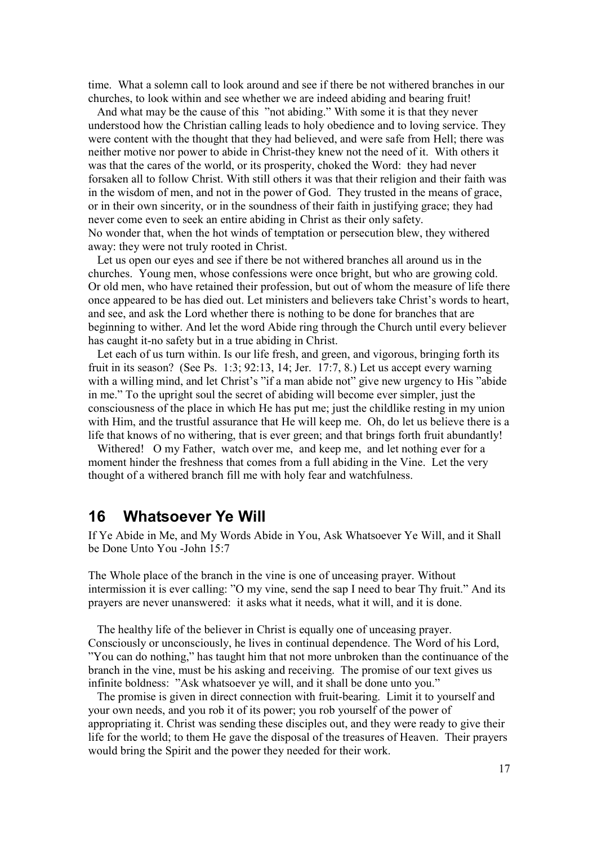time. What a solemn call to look around and see if there be not withered branches in our churches, to look within and see whether we are indeed abiding and bearing fruit!

And what may be the cause of this "not abiding." With some it is that they never understood how the Christian calling leads to holy obedience and to loving service. They were content with the thought that they had believed, and were safe from Hell; there was neither motive nor power to abide in Christ-they knew not the need of it. With others it was that the cares of the world, or its prosperity, choked the Word: they had never forsaken all to follow Christ. With still others it was that their religion and their faith was in the wisdom of men, and not in the power of God. They trusted in the means of grace, or in their own sincerity, or in the soundness of their faith in justifying grace; they had never come even to seek an entire abiding in Christ as their only safety. No wonder that, when the hot winds of temptation or persecution blew, they withered away: they were not truly rooted in Christ.

 Let us open our eyes and see if there be not withered branches all around us in the churches. Young men, whose confessions were once bright, but who are growing cold. Or old men, who have retained their profession, but out of whom the measure of life there once appeared to be has died out. Let ministers and believers take Christ's words to heart, and see, and ask the Lord whether there is nothing to be done for branches that are beginning to wither. And let the word Abide ring through the Church until every believer has caught it-no safety but in a true abiding in Christ.

Let each of us turn within. Is our life fresh, and green, and vigorous, bringing forth its fruit in its season? (See Ps. 1:3; 92:13, 14; Jer. 17:7, 8.) Let us accept every warning with a willing mind, and let Christ's "if a man abide not" give new urgency to His "abide" in me." To the upright soul the secret of abiding will become ever simpler, just the consciousness of the place in which He has put me; just the childlike resting in my union with Him, and the trustful assurance that He will keep me. Oh, do let us believe there is a life that knows of no withering, that is ever green; and that brings forth fruit abundantly!

Withered! O my Father, watch over me, and keep me, and let nothing ever for a moment hinder the freshness that comes from a full abiding in the Vine. Let the very thought of a withered branch fill me with holy fear and watchfulness.

#### **16 Whatsoever Ye Will**

If Ye Abide in Me, and My Words Abide in You, Ask Whatsoever Ye Will, and it Shall be Done Unto You -John 15:7

The Whole place of the branch in the vine is one of unceasing prayer. Without intermission it is ever calling: "O my vine, send the sap I need to bear Thy fruit." And its prayers are never unanswered: it asks what it needs, what it will, and it is done.

 The healthy life of the believer in Christ is equally one of unceasing prayer. Consciously or unconsciously, he lives in continual dependence. The Word of his Lord, "You can do nothing," has taught him that not more unbroken than the continuance of the branch in the vine, must be his asking and receiving. The promise of our text gives us infinite boldness: "Ask whatsoever ye will, and it shall be done unto you."

 The promise is given in direct connection with fruit-bearing. Limit it to yourself and your own needs, and you rob it of its power; you rob yourself of the power of appropriating it. Christ was sending these disciples out, and they were ready to give their life for the world; to them He gave the disposal of the treasures of Heaven. Their prayers would bring the Spirit and the power they needed for their work.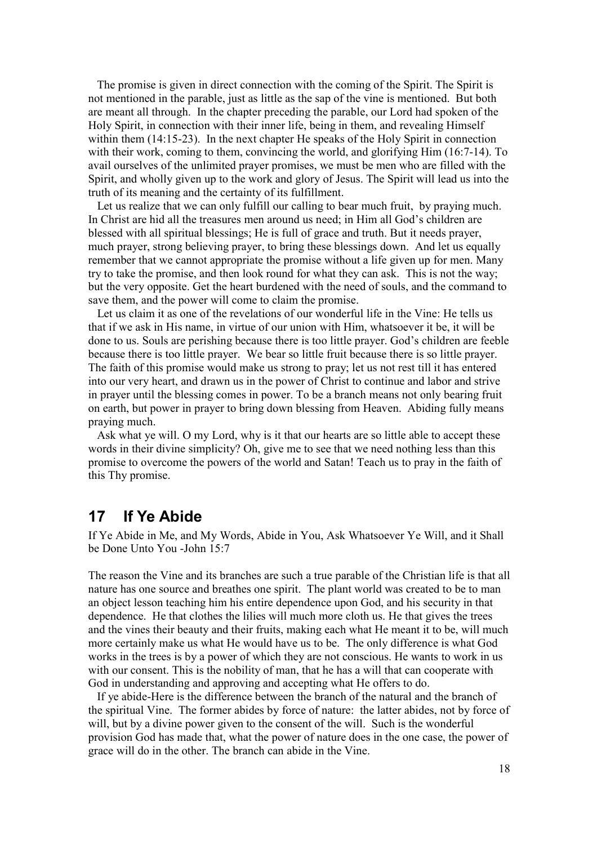The promise is given in direct connection with the coming of the Spirit. The Spirit is not mentioned in the parable, just as little as the sap of the vine is mentioned. But both are meant all through. In the chapter preceding the parable, our Lord had spoken of the Holy Spirit, in connection with their inner life, being in them, and revealing Himself within them (14:15-23). In the next chapter He speaks of the Holy Spirit in connection with their work, coming to them, convincing the world, and glorifying Him (16:7-14). To avail ourselves of the unlimited prayer promises, we must be men who are filled with the Spirit, and wholly given up to the work and glory of Jesus. The Spirit will lead us into the truth of its meaning and the certainty of its fulfillment.

 Let us realize that we can only fulfill our calling to bear much fruit, by praying much. In Christ are hid all the treasures men around us need; in Him all God's children are blessed with all spiritual blessings; He is full of grace and truth. But it needs prayer, much prayer, strong believing prayer, to bring these blessings down. And let us equally remember that we cannot appropriate the promise without a life given up for men. Many try to take the promise, and then look round for what they can ask. This is not the way; but the very opposite. Get the heart burdened with the need of souls, and the command to save them, and the power will come to claim the promise.

 Let us claim it as one of the revelations of our wonderful life in the Vine: He tells us that if we ask in His name, in virtue of our union with Him, whatsoever it be, it will be done to us. Souls are perishing because there is too little prayer. God's children are feeble because there is too little prayer. We bear so little fruit because there is so little prayer. The faith of this promise would make us strong to pray; let us not rest till it has entered into our very heart, and drawn us in the power of Christ to continue and labor and strive in prayer until the blessing comes in power. To be a branch means not only bearing fruit on earth, but power in prayer to bring down blessing from Heaven. Abiding fully means praying much.

Ask what ye will. O my Lord, why is it that our hearts are so little able to accept these words in their divine simplicity? Oh, give me to see that we need nothing less than this promise to overcome the powers of the world and Satan! Teach us to pray in the faith of this Thy promise.

### **17 If Ye Abide**

If Ye Abide in Me, and My Words, Abide in You, Ask Whatsoever Ye Will, and it Shall be Done Unto You -John 15:7

The reason the Vine and its branches are such a true parable of the Christian life is that all nature has one source and breathes one spirit. The plant world was created to be to man an object lesson teaching him his entire dependence upon God, and his security in that dependence. He that clothes the lilies will much more cloth us. He that gives the trees and the vines their beauty and their fruits, making each what He meant it to be, will much more certainly make us what He would have us to be. The only difference is what God works in the trees is by a power of which they are not conscious. He wants to work in us with our consent. This is the nobility of man, that he has a will that can cooperate with God in understanding and approving and accepting what He offers to do.

 If ye abide-Here is the difference between the branch of the natural and the branch of the spiritual Vine. The former abides by force of nature: the latter abides, not by force of will, but by a divine power given to the consent of the will. Such is the wonderful provision God has made that, what the power of nature does in the one case, the power of grace will do in the other. The branch can abide in the Vine.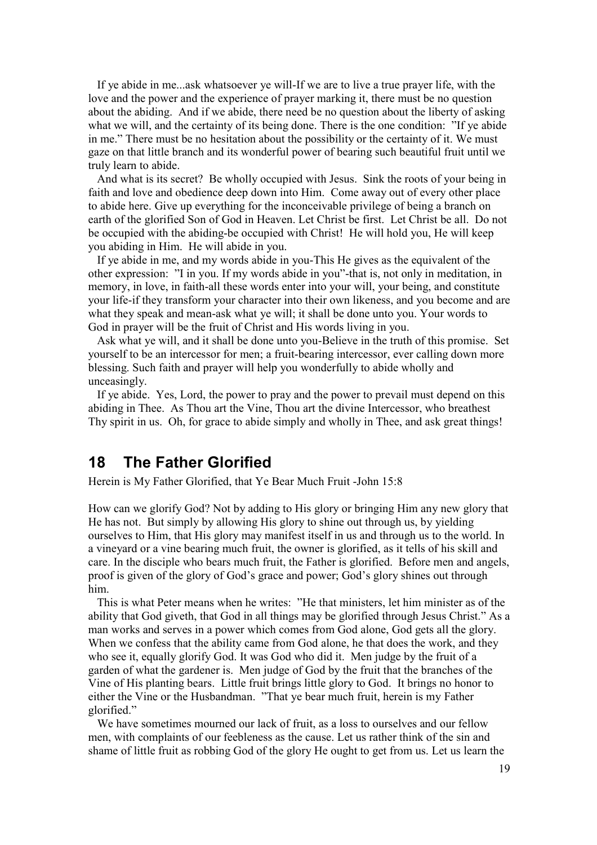If ye abide in me...ask whatsoever ye will-If we are to live a true prayer life, with the love and the power and the experience of prayer marking it, there must be no question about the abiding. And if we abide, there need be no question about the liberty of asking what we will, and the certainty of its being done. There is the one condition: "If ye abide in me." There must be no hesitation about the possibility or the certainty of it. We must gaze on that little branch and its wonderful power of bearing such beautiful fruit until we truly learn to abide.

And what is its secret? Be wholly occupied with Jesus. Sink the roots of your being in faith and love and obedience deep down into Him. Come away out of every other place to abide here. Give up everything for the inconceivable privilege of being a branch on earth of the glorified Son of God in Heaven. Let Christ be first. Let Christ be all. Do not be occupied with the abiding-be occupied with Christ! He will hold you, He will keep you abiding in Him. He will abide in you.

 If ye abide in me, and my words abide in you-This He gives as the equivalent of the other expression: "I in you. If my words abide in you"-that is, not only in meditation, in memory, in love, in faith-all these words enter into your will, your being, and constitute your life-if they transform your character into their own likeness, and you become and are what they speak and mean-ask what ye will; it shall be done unto you. Your words to God in prayer will be the fruit of Christ and His words living in you.

Ask what ye will, and it shall be done unto you-Believe in the truth of this promise. Set yourself to be an intercessor for men; a fruit-bearing intercessor, ever calling down more blessing. Such faith and prayer will help you wonderfully to abide wholly and unceasingly.

 If ye abide. Yes, Lord, the power to pray and the power to prevail must depend on this abiding in Thee. As Thou art the Vine, Thou art the divine Intercessor, who breathest Thy spirit in us. Oh, for grace to abide simply and wholly in Thee, and ask great things!

### **18 The Father Glorified**

Herein is My Father Glorified, that Ye Bear Much Fruit -John 15:8

How can we glorify God? Not by adding to His glory or bringing Him any new glory that He has not. But simply by allowing His glory to shine out through us, by yielding ourselves to Him, that His glory may manifest itself in us and through us to the world. In a vineyard or a vine bearing much fruit, the owner is glorified, as it tells of his skill and care. In the disciple who bears much fruit, the Father is glorified. Before men and angels, proof is given of the glory of God's grace and power; God's glory shines out through him.

 This is what Peter means when he writes: "He that ministers, let him minister as of the ability that God giveth, that God in all things may be glorified through Jesus Christ." As a man works and serves in a power which comes from God alone, God gets all the glory. When we confess that the ability came from God alone, he that does the work, and they who see it, equally glorify God. It was God who did it. Men judge by the fruit of a garden of what the gardener is. Men judge of God by the fruit that the branches of the Vine of His planting bears. Little fruit brings little glory to God. It brings no honor to either the Vine or the Husbandman. "That ye bear much fruit, herein is my Father glorified."

We have sometimes mourned our lack of fruit, as a loss to ourselves and our fellow men, with complaints of our feebleness as the cause. Let us rather think of the sin and shame of little fruit as robbing God of the glory He ought to get from us. Let us learn the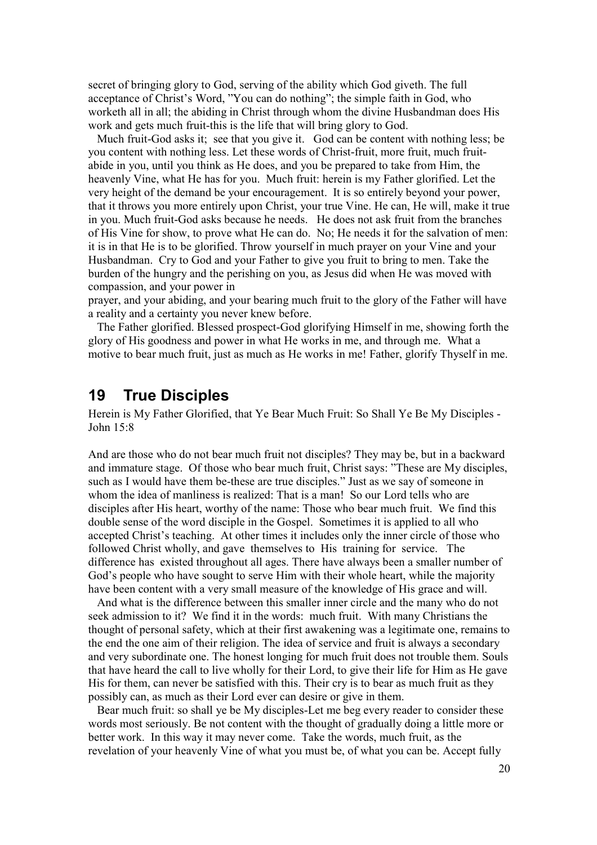secret of bringing glory to God, serving of the ability which God giveth. The full acceptance of Christ's Word, "You can do nothing"; the simple faith in God, who worketh all in all; the abiding in Christ through whom the divine Husbandman does His work and gets much fruit-this is the life that will bring glory to God.

 Much fruit-God asks it; see that you give it. God can be content with nothing less; be you content with nothing less. Let these words of Christ-fruit, more fruit, much fruitabide in you, until you think as He does, and you be prepared to take from Him, the heavenly Vine, what He has for you. Much fruit: herein is my Father glorified. Let the very height of the demand be your encouragement. It is so entirely beyond your power, that it throws you more entirely upon Christ, your true Vine. He can, He will, make it true in you. Much fruit-God asks because he needs. He does not ask fruit from the branches of His Vine for show, to prove what He can do. No; He needs it for the salvation of men: it is in that He is to be glorified. Throw yourself in much prayer on your Vine and your Husbandman. Cry to God and your Father to give you fruit to bring to men. Take the burden of the hungry and the perishing on you, as Jesus did when He was moved with compassion, and your power in

prayer, and your abiding, and your bearing much fruit to the glory of the Father will have a reality and a certainty you never knew before.

 The Father glorified. Blessed prospect-God glorifying Himself in me, showing forth the glory of His goodness and power in what He works in me, and through me. What a motive to bear much fruit, just as much as He works in me! Father, glorify Thyself in me.

### **19 True Disciples**

Herein is My Father Glorified, that Ye Bear Much Fruit: So Shall Ye Be My Disciples - John 15:8

And are those who do not bear much fruit not disciples? They may be, but in a backward and immature stage. Of those who bear much fruit, Christ says: "These are My disciples, such as I would have them be-these are true disciples." Just as we say of someone in whom the idea of manliness is realized: That is a man! So our Lord tells who are disciples after His heart, worthy of the name: Those who bear much fruit. We find this double sense of the word disciple in the Gospel. Sometimes it is applied to all who accepted Christ's teaching. At other times it includes only the inner circle of those who followed Christ wholly, and gave themselves to His training for service. The difference has existed throughout all ages. There have always been a smaller number of God's people who have sought to serve Him with their whole heart, while the majority have been content with a very small measure of the knowledge of His grace and will.

And what is the difference between this smaller inner circle and the many who do not seek admission to it? We find it in the words: much fruit. With many Christians the thought of personal safety, which at their first awakening was a legitimate one, remains to the end the one aim of their religion. The idea of service and fruit is always a secondary and very subordinate one. The honest longing for much fruit does not trouble them. Souls that have heard the call to live wholly for their Lord, to give their life for Him as He gave His for them, can never be satisfied with this. Their cry is to bear as much fruit as they possibly can, as much as their Lord ever can desire or give in them.

Bear much fruit: so shall ye be My disciples-Let me beg every reader to consider these words most seriously. Be not content with the thought of gradually doing a little more or better work. In this way it may never come. Take the words, much fruit, as the revelation of your heavenly Vine of what you must be, of what you can be. Accept fully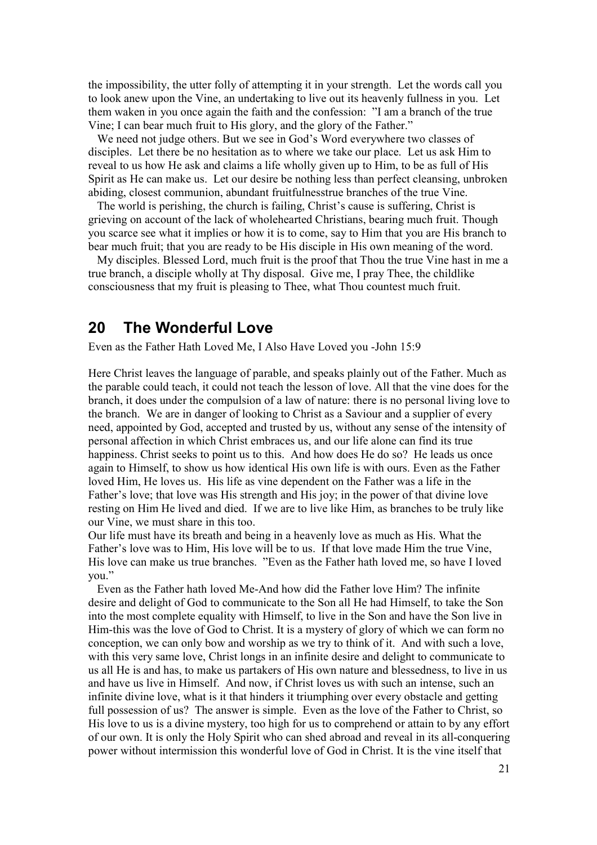the impossibility, the utter folly of attempting it in your strength. Let the words call you to look anew upon the Vine, an undertaking to live out its heavenly fullness in you. Let them waken in you once again the faith and the confession: "I am a branch of the true Vine; I can bear much fruit to His glory, and the glory of the Father."

 We need not judge others. But we see in God's Word everywhere two classes of disciples. Let there be no hesitation as to where we take our place. Let us ask Him to reveal to us how He ask and claims a life wholly given up to Him, to be as full of His Spirit as He can make us. Let our desire be nothing less than perfect cleansing, unbroken abiding, closest communion, abundant fruitfulnesstrue branches of the true Vine.

 The world is perishing, the church is failing, Christ's cause is suffering, Christ is grieving on account of the lack of wholehearted Christians, bearing much fruit. Though you scarce see what it implies or how it is to come, say to Him that you are His branch to bear much fruit; that you are ready to be His disciple in His own meaning of the word.

My disciples. Blessed Lord, much fruit is the proof that Thou the true Vine hast in me a true branch, a disciple wholly at Thy disposal. Give me, I pray Thee, the childlike consciousness that my fruit is pleasing to Thee, what Thou countest much fruit.

### **20 The Wonderful Love**

Even as the Father Hath Loved Me, I Also Have Loved you -John 15:9

Here Christ leaves the language of parable, and speaks plainly out of the Father. Much as the parable could teach, it could not teach the lesson of love. All that the vine does for the branch, it does under the compulsion of a law of nature: there is no personal living love to the branch. We are in danger of looking to Christ as a Saviour and a supplier of every need, appointed by God, accepted and trusted by us, without any sense of the intensity of personal affection in which Christ embraces us, and our life alone can find its true happiness. Christ seeks to point us to this. And how does He do so? He leads us once again to Himself, to show us how identical His own life is with ours. Even as the Father loved Him, He loves us. His life as vine dependent on the Father was a life in the Father's love; that love was His strength and His joy; in the power of that divine love resting on Him He lived and died. If we are to live like Him, as branches to be truly like our Vine, we must share in this too.

Our life must have its breath and being in a heavenly love as much as His. What the Father's love was to Him, His love will be to us. If that love made Him the true Vine, His love can make us true branches. "Even as the Father hath loved me, so have I loved you."

 Even as the Father hath loved Me-And how did the Father love Him? The infinite desire and delight of God to communicate to the Son all He had Himself, to take the Son into the most complete equality with Himself, to live in the Son and have the Son live in Him-this was the love of God to Christ. It is a mystery of glory of which we can form no conception, we can only bow and worship as we try to think of it. And with such a love, with this very same love, Christ longs in an infinite desire and delight to communicate to us all He is and has, to make us partakers of His own nature and blessedness, to live in us and have us live in Himself. And now, if Christ loves us with such an intense, such an infinite divine love, what is it that hinders it triumphing over every obstacle and getting full possession of us? The answer is simple. Even as the love of the Father to Christ, so His love to us is a divine mystery, too high for us to comprehend or attain to by any effort of our own. It is only the Holy Spirit who can shed abroad and reveal in its all-conquering power without intermission this wonderful love of God in Christ. It is the vine itself that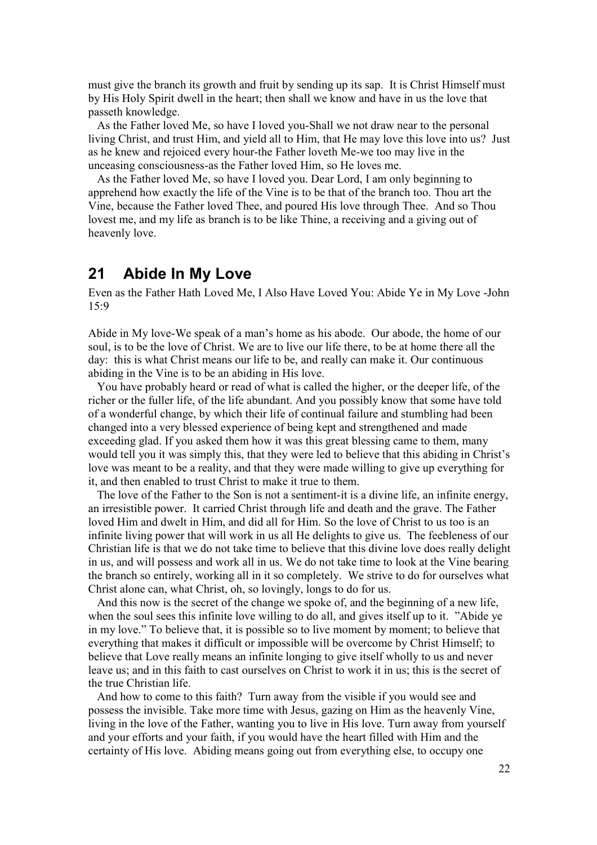must give the branch its growth and fruit by sending up its sap. It is Christ Himself must by His Holy Spirit dwell in the heart; then shall we know and have in us the love that passeth knowledge.

As the Father loved Me, so have I loved you-Shall we not draw near to the personal living Christ, and trust Him, and yield all to Him, that He may love this love into us? Just as he knew and rejoiced every hour-the Father loveth Me-we too may live in the unceasing consciousness-as the Father loved Him, so He loves me.

As the Father loved Me, so have I loved you. Dear Lord, I am only beginning to apprehend how exactly the life of the Vine is to be that of the branch too. Thou art the Vine, because the Father loved Thee, and poured His love through Thee. And so Thou lovest me, and my life as branch is to be like Thine, a receiving and a giving out of heavenly love.

# **21 Abide In My Love**

Even as the Father Hath Loved Me, I Also Have Loved You: Abide Ye in My Love -John 15:9

Abide in My love-We speak of a man's home as his abode. Our abode, the home of our soul, is to be the love of Christ. We are to live our life there, to be at home there all the day: this is what Christ means our life to be, and really can make it. Our continuous abiding in the Vine is to be an abiding in His love.

You have probably heard or read of what is called the higher, or the deeper life, of the richer or the fuller life, of the life abundant. And you possibly know that some have told of a wonderful change, by which their life of continual failure and stumbling had been changed into a very blessed experience of being kept and strengthened and made exceeding glad. If you asked them how it was this great blessing came to them, many would tell you it was simply this, that they were led to believe that this abiding in Christ's love was meant to be a reality, and that they were made willing to give up everything for it, and then enabled to trust Christ to make it true to them.

 The love of the Father to the Son is not a sentiment-it is a divine life, an infinite energy, an irresistible power. It carried Christ through life and death and the grave. The Father loved Him and dwelt in Him, and did all for Him. So the love of Christ to us too is an infinite living power that will work in us all He delights to give us. The feebleness of our Christian life is that we do not take time to believe that this divine love does really delight in us, and will possess and work all in us. We do not take time to look at the Vine bearing the branch so entirely, working all in it so completely. We strive to do for ourselves what Christ alone can, what Christ, oh, so lovingly, longs to do for us.

And this now is the secret of the change we spoke of, and the beginning of a new life, when the soul sees this infinite love willing to do all, and gives itself up to it. "Abide ye in my love." To believe that, it is possible so to live moment by moment; to believe that everything that makes it difficult or impossible will be overcome by Christ Himself; to believe that Love really means an infinite longing to give itself wholly to us and never leave us; and in this faith to cast ourselves on Christ to work it in us; this is the secret of the true Christian life.

And how to come to this faith? Turn away from the visible if you would see and possess the invisible. Take more time with Jesus, gazing on Him as the heavenly Vine, living in the love of the Father, wanting you to live in His love. Turn away from yourself and your efforts and your faith, if you would have the heart filled with Him and the certainty of His love. Abiding means going out from everything else, to occupy one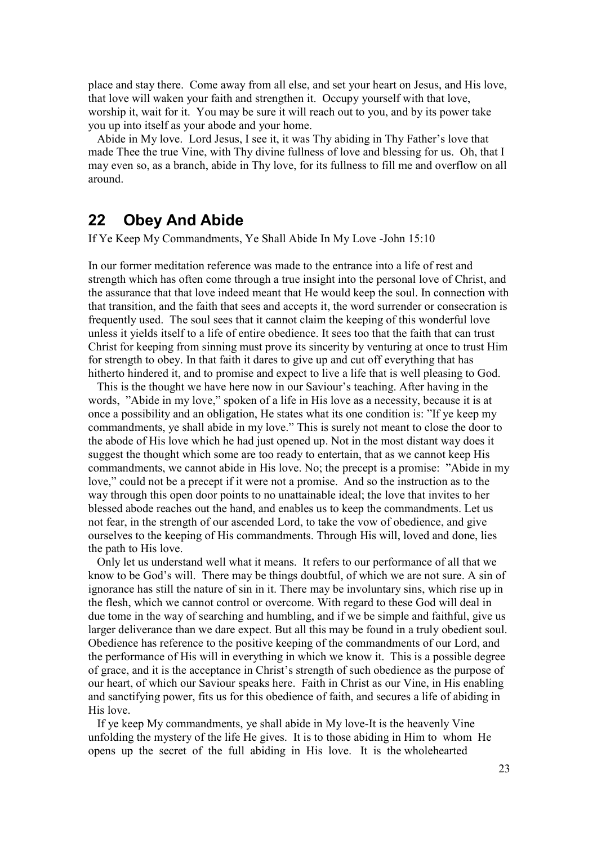place and stay there. Come away from all else, and set your heart on Jesus, and His love, that love will waken your faith and strengthen it. Occupy yourself with that love, worship it, wait for it. You may be sure it will reach out to you, and by its power take you up into itself as your abode and your home.

Abide in My love. Lord Jesus, I see it, it was Thy abiding in Thy Father's love that made Thee the true Vine, with Thy divine fullness of love and blessing for us. Oh, that I may even so, as a branch, abide in Thy love, for its fullness to fill me and overflow on all around.

### **22 Obey And Abide**

If Ye Keep My Commandments, Ye Shall Abide In My Love -John 15:10

In our former meditation reference was made to the entrance into a life of rest and strength which has often come through a true insight into the personal love of Christ, and the assurance that that love indeed meant that He would keep the soul. In connection with that transition, and the faith that sees and accepts it, the word surrender or consecration is frequently used. The soul sees that it cannot claim the keeping of this wonderful love unless it yields itself to a life of entire obedience. It sees too that the faith that can trust Christ for keeping from sinning must prove its sincerity by venturing at once to trust Him for strength to obey. In that faith it dares to give up and cut off everything that has hitherto hindered it, and to promise and expect to live a life that is well pleasing to God.

 This is the thought we have here now in our Saviour's teaching. After having in the words, "Abide in my love," spoken of a life in His love as a necessity, because it is at once a possibility and an obligation, He states what its one condition is: "If ye keep my commandments, ye shall abide in my love." This is surely not meant to close the door to the abode of His love which he had just opened up. Not in the most distant way does it suggest the thought which some are too ready to entertain, that as we cannot keep His commandments, we cannot abide in His love. No; the precept is a promise: "Abide in my love," could not be a precept if it were not a promise. And so the instruction as to the way through this open door points to no unattainable ideal; the love that invites to her blessed abode reaches out the hand, and enables us to keep the commandments. Let us not fear, in the strength of our ascended Lord, to take the vow of obedience, and give ourselves to the keeping of His commandments. Through His will, loved and done, lies the path to His love.

Only let us understand well what it means. It refers to our performance of all that we know to be God's will. There may be things doubtful, of which we are not sure. A sin of ignorance has still the nature of sin in it. There may be involuntary sins, which rise up in the flesh, which we cannot control or overcome. With regard to these God will deal in due tome in the way of searching and humbling, and if we be simple and faithful, give us larger deliverance than we dare expect. But all this may be found in a truly obedient soul. Obedience has reference to the positive keeping of the commandments of our Lord, and the performance of His will in everything in which we know it. This is a possible degree of grace, and it is the acceptance in Christ's strength of such obedience as the purpose of our heart, of which our Saviour speaks here. Faith in Christ as our Vine, in His enabling and sanctifying power, fits us for this obedience of faith, and secures a life of abiding in His love.

 If ye keep My commandments, ye shall abide in My love-It is the heavenly Vine unfolding the mystery of the life He gives. It is to those abiding in Him to whom He opens up the secret of the full abiding in His love. It is the wholehearted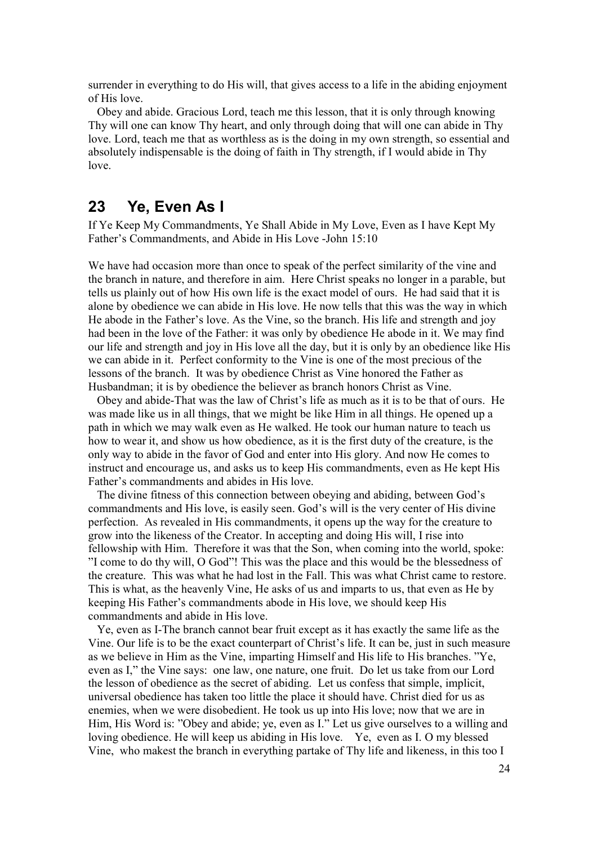surrender in everything to do His will, that gives access to a life in the abiding enjoyment of His love.

Obey and abide. Gracious Lord, teach me this lesson, that it is only through knowing Thy will one can know Thy heart, and only through doing that will one can abide in Thy love. Lord, teach me that as worthless as is the doing in my own strength, so essential and absolutely indispensable is the doing of faith in Thy strength, if I would abide in Thy love.

### **23 Ye, Even As I**

If Ye Keep My Commandments, Ye Shall Abide in My Love, Even as I have Kept My Father's Commandments, and Abide in His Love -John 15:10

We have had occasion more than once to speak of the perfect similarity of the vine and the branch in nature, and therefore in aim. Here Christ speaks no longer in a parable, but tells us plainly out of how His own life is the exact model of ours. He had said that it is alone by obedience we can abide in His love. He now tells that this was the way in which He abode in the Father's love. As the Vine, so the branch. His life and strength and joy had been in the love of the Father: it was only by obedience He abode in it. We may find our life and strength and joy in His love all the day, but it is only by an obedience like His we can abide in it. Perfect conformity to the Vine is one of the most precious of the lessons of the branch. It was by obedience Christ as Vine honored the Father as Husbandman; it is by obedience the believer as branch honors Christ as Vine.

Obey and abide-That was the law of Christ's life as much as it is to be that of ours. He was made like us in all things, that we might be like Him in all things. He opened up a path in which we may walk even as He walked. He took our human nature to teach us how to wear it, and show us how obedience, as it is the first duty of the creature, is the only way to abide in the favor of God and enter into His glory. And now He comes to instruct and encourage us, and asks us to keep His commandments, even as He kept His Father's commandments and abides in His love.

 The divine fitness of this connection between obeying and abiding, between God's commandments and His love, is easily seen. God's will is the very center of His divine perfection. As revealed in His commandments, it opens up the way for the creature to grow into the likeness of the Creator. In accepting and doing His will, I rise into fellowship with Him. Therefore it was that the Son, when coming into the world, spoke: "I come to do thy will, O God"! This was the place and this would be the blessedness of the creature. This was what he had lost in the Fall. This was what Christ came to restore. This is what, as the heavenly Vine, He asks of us and imparts to us, that even as He by keeping His Father's commandments abode in His love, we should keep His commandments and abide in His love.

Ye, even as I-The branch cannot bear fruit except as it has exactly the same life as the Vine. Our life is to be the exact counterpart of Christ's life. It can be, just in such measure as we believe in Him as the Vine, imparting Himself and His life to His branches. "Ye, even as I," the Vine says: one law, one nature, one fruit. Do let us take from our Lord the lesson of obedience as the secret of abiding. Let us confess that simple, implicit, universal obedience has taken too little the place it should have. Christ died for us as enemies, when we were disobedient. He took us up into His love; now that we are in Him, His Word is: "Obey and abide; ye, even as I." Let us give ourselves to a willing and loving obedience. He will keep us abiding in His love. Ye, even as I. O my blessed Vine, who makest the branch in everything partake of Thy life and likeness, in this too I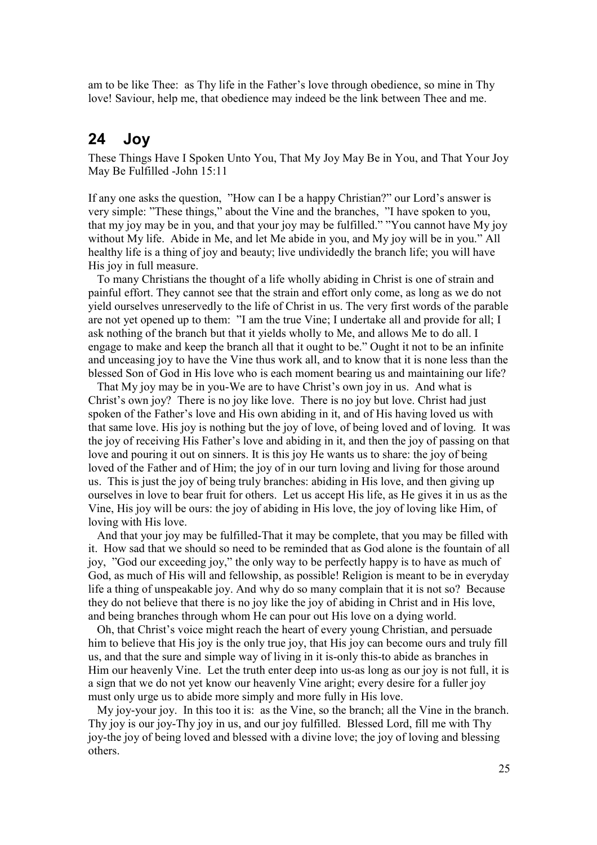am to be like Thee: as Thy life in the Father's love through obedience, so mine in Thy love! Saviour, help me, that obedience may indeed be the link between Thee and me.

### **24 Joy**

These Things Have I Spoken Unto You, That My Joy May Be in You, and That Your Joy May Be Fulfilled -John 15:11

If any one asks the question, "How can I be a happy Christian?" our Lord's answer is very simple: "These things," about the Vine and the branches, "I have spoken to you, that my joy may be in you, and that your joy may be fulfilled." "You cannot have My joy without My life. Abide in Me, and let Me abide in you, and My joy will be in you." All healthy life is a thing of joy and beauty; live undividedly the branch life; you will have His joy in full measure.

 To many Christians the thought of a life wholly abiding in Christ is one of strain and painful effort. They cannot see that the strain and effort only come, as long as we do not yield ourselves unreservedly to the life of Christ in us. The very first words of the parable are not yet opened up to them: "I am the true Vine; I undertake all and provide for all; I ask nothing of the branch but that it yields wholly to Me, and allows Me to do all. I engage to make and keep the branch all that it ought to be." Ought it not to be an infinite and unceasing joy to have the Vine thus work all, and to know that it is none less than the blessed Son of God in His love who is each moment bearing us and maintaining our life?

 That My joy may be in you-We are to have Christ's own joy in us. And what is Christ's own joy? There is no joy like love. There is no joy but love. Christ had just spoken of the Father's love and His own abiding in it, and of His having loved us with that same love. His joy is nothing but the joy of love, of being loved and of loving. It was the joy of receiving His Father's love and abiding in it, and then the joy of passing on that love and pouring it out on sinners. It is this joy He wants us to share: the joy of being loved of the Father and of Him; the joy of in our turn loving and living for those around us. This is just the joy of being truly branches: abiding in His love, and then giving up ourselves in love to bear fruit for others. Let us accept His life, as He gives it in us as the Vine, His joy will be ours: the joy of abiding in His love, the joy of loving like Him, of loving with His love.

And that your joy may be fulfilled-That it may be complete, that you may be filled with it. How sad that we should so need to be reminded that as God alone is the fountain of all joy, "God our exceeding joy," the only way to be perfectly happy is to have as much of God, as much of His will and fellowship, as possible! Religion is meant to be in everyday life a thing of unspeakable joy. And why do so many complain that it is not so? Because they do not believe that there is no joy like the joy of abiding in Christ and in His love, and being branches through whom He can pour out His love on a dying world.

Oh, that Christ's voice might reach the heart of every young Christian, and persuade him to believe that His joy is the only true joy, that His joy can become ours and truly fill us, and that the sure and simple way of living in it is-only this-to abide as branches in Him our heavenly Vine. Let the truth enter deep into us-as long as our joy is not full, it is a sign that we do not yet know our heavenly Vine aright; every desire for a fuller joy must only urge us to abide more simply and more fully in His love.

My joy-your joy. In this too it is: as the Vine, so the branch; all the Vine in the branch. Thy joy is our joy-Thy joy in us, and our joy fulfilled. Blessed Lord, fill me with Thy joy-the joy of being loved and blessed with a divine love; the joy of loving and blessing others.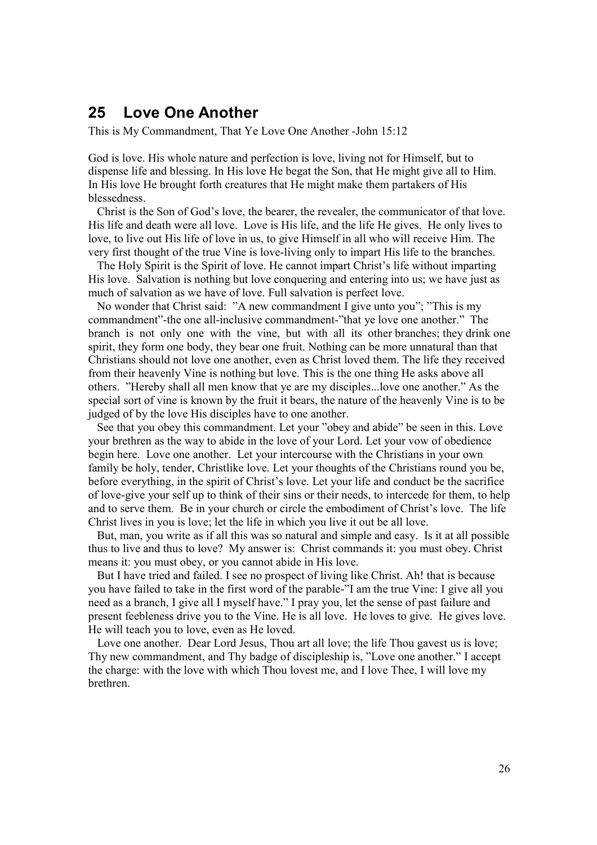# **25 Love One Another**

This is My Commandment, That Ye Love One Another -John 15:12

God is love. His whole nature and perfection is love, living not for Himself, but to dispense life and blessing. In His love He begat the Son, that He might give all to Him. In His love He brought forth creatures that He might make them partakers of His blessedness.

Christ is the Son of God's love, the bearer, the revealer, the communicator of that love. His life and death were all love. Love is His life, and the life He gives. He only lives to love, to live out His life of love in us, to give Himself in all who will receive Him. The very first thought of the true Vine is love-living only to impart His life to the branches.

 The Holy Spirit is the Spirit of love. He cannot impart Christ's life without imparting His love. Salvation is nothing but love conquering and entering into us; we have just as much of salvation as we have of love. Full salvation is perfect love.

No wonder that Christ said: "A new commandment I give unto you"; "This is my commandment"-the one all-inclusive commandment-"that ye love one another." The branch is not only one with the vine, but with all its other branches; they drink one spirit, they form one body, they bear one fruit. Nothing can be more unnatural than that Christians should not love one another, even as Christ loved them. The life they received from their heavenly Vine is nothing but love. This is the one thing He asks above all others. "Hereby shall all men know that ye are my disciples...love one another." As the special sort of vine is known by the fruit it bears, the nature of the heavenly Vine is to be judged of by the love His disciples have to one another.

See that you obey this commandment. Let your "obey and abide" be seen in this. Love your brethren as the way to abide in the love of your Lord. Let your vow of obedience begin here. Love one another. Let your intercourse with the Christians in your own family be holy, tender, Christlike love. Let your thoughts of the Christians round you be, before everything, in the spirit of Christ's love. Let your life and conduct be the sacrifice of love-give your self up to think of their sins or their needs, to intercede for them, to help and to serve them. Be in your church or circle the embodiment of Christ's love. The life Christ lives in you is love; let the life in which you live it out be all love.

But, man, you write as if all this was so natural and simple and easy. Is it at all possible thus to live and thus to love? My answer is: Christ commands it: you must obey. Christ means it: you must obey, or you cannot abide in His love.

But I have tried and failed. I see no prospect of living like Christ. Ah! that is because you have failed to take in the first word of the parable-"I am the true Vine: I give all you need as a branch, I give all I myself have." I pray you, let the sense of past failure and present feebleness drive you to the Vine. He is all love. He loves to give. He gives love. He will teach you to love, even as He loved.

Love one another. Dear Lord Jesus, Thou art all love; the life Thou gavest us is love; Thy new commandment, and Thy badge of discipleship is, "Love one another." I accept the charge: with the love with which Thou lovest me, and I love Thee, I will love my brethren.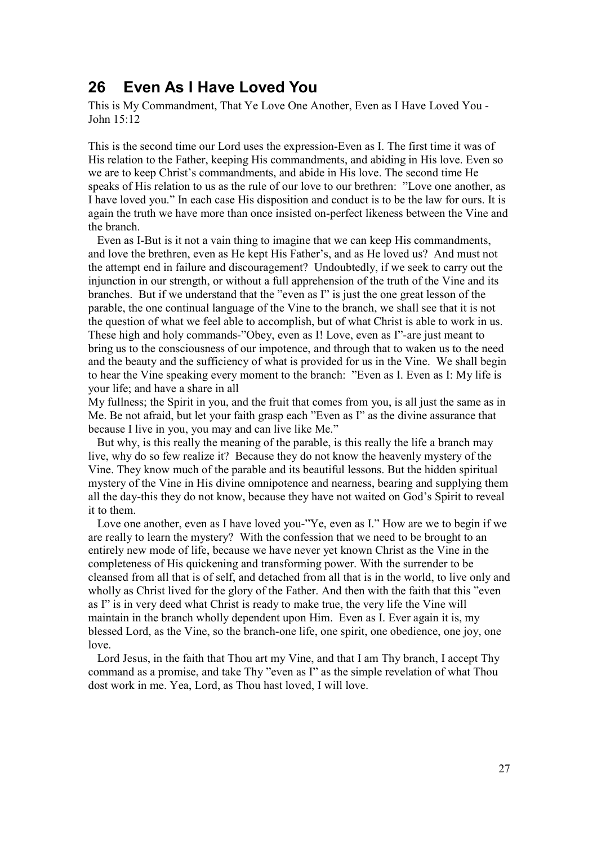# **26 Even As I Have Loved You**

This is My Commandment, That Ye Love One Another, Even as I Have Loved You - John  $15:12$ 

This is the second time our Lord uses the expression-Even as I. The first time it was of His relation to the Father, keeping His commandments, and abiding in His love. Even so we are to keep Christ's commandments, and abide in His love. The second time He speaks of His relation to us as the rule of our love to our brethren: "Love one another, as I have loved you." In each case His disposition and conduct is to be the law for ours. It is again the truth we have more than once insisted on-perfect likeness between the Vine and the branch.

 Even as I-But is it not a vain thing to imagine that we can keep His commandments, and love the brethren, even as He kept His Father's, and as He loved us? And must not the attempt end in failure and discouragement? Undoubtedly, if we seek to carry out the injunction in our strength, or without a full apprehension of the truth of the Vine and its branches. But if we understand that the "even as I" is just the one great lesson of the parable, the one continual language of the Vine to the branch, we shall see that it is not the question of what we feel able to accomplish, but of what Christ is able to work in us. These high and holy commands-"Obey, even as I! Love, even as I"-are just meant to bring us to the consciousness of our impotence, and through that to waken us to the need and the beauty and the sufficiency of what is provided for us in the Vine. We shall begin to hear the Vine speaking every moment to the branch: "Even as I. Even as I: My life is your life; and have a share in all

My fullness; the Spirit in you, and the fruit that comes from you, is all just the same as in Me. Be not afraid, but let your faith grasp each "Even as I" as the divine assurance that because I live in you, you may and can live like Me."

But why, is this really the meaning of the parable, is this really the life a branch may live, why do so few realize it? Because they do not know the heavenly mystery of the Vine. They know much of the parable and its beautiful lessons. But the hidden spiritual mystery of the Vine in His divine omnipotence and nearness, bearing and supplying them all the day-this they do not know, because they have not waited on God's Spirit to reveal it to them.

 Love one another, even as I have loved you-"Ye, even as I." How are we to begin if we are really to learn the mystery? With the confession that we need to be brought to an entirely new mode of life, because we have never yet known Christ as the Vine in the completeness of His quickening and transforming power. With the surrender to be cleansed from all that is of self, and detached from all that is in the world, to live only and wholly as Christ lived for the glory of the Father. And then with the faith that this "even as I" is in very deed what Christ is ready to make true, the very life the Vine will maintain in the branch wholly dependent upon Him. Even as I. Ever again it is, my blessed Lord, as the Vine, so the branch-one life, one spirit, one obedience, one joy, one love.

 Lord Jesus, in the faith that Thou art my Vine, and that I am Thy branch, I accept Thy command as a promise, and take Thy "even as I" as the simple revelation of what Thou dost work in me. Yea, Lord, as Thou hast loved, I will love.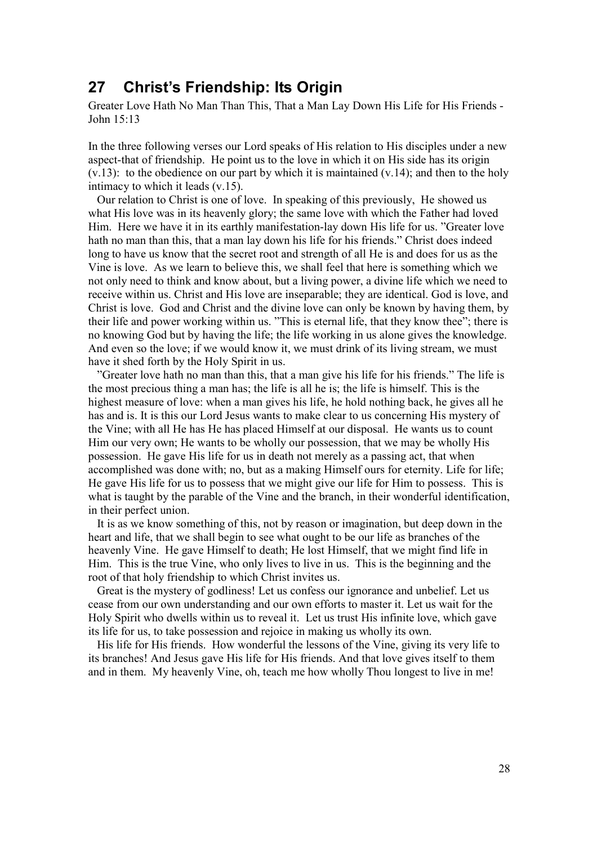# **27 Christ's Friendship: Its Origin**

Greater Love Hath No Man Than This, That a Man Lay Down His Life for His Friends - John 15:13

In the three following verses our Lord speaks of His relation to His disciples under a new aspect-that of friendship. He point us to the love in which it on His side has its origin  $(v.13)$ : to the obedience on our part by which it is maintained  $(v.14)$ ; and then to the holy intimacy to which it leads (v.15).

Our relation to Christ is one of love. In speaking of this previously, He showed us what His love was in its heavenly glory; the same love with which the Father had loved Him. Here we have it in its earthly manifestation-lay down His life for us. "Greater love hath no man than this, that a man lay down his life for his friends." Christ does indeed long to have us know that the secret root and strength of all He is and does for us as the Vine is love. As we learn to believe this, we shall feel that here is something which we not only need to think and know about, but a living power, a divine life which we need to receive within us. Christ and His love are inseparable; they are identical. God is love, and Christ is love. God and Christ and the divine love can only be known by having them, by their life and power working within us. "This is eternal life, that they know thee"; there is no knowing God but by having the life; the life working in us alone gives the knowledge. And even so the love; if we would know it, we must drink of its living stream, we must have it shed forth by the Holy Spirit in us.

"Greater love hath no man than this, that a man give his life for his friends." The life is the most precious thing a man has; the life is all he is; the life is himself. This is the highest measure of love: when a man gives his life, he hold nothing back, he gives all he has and is. It is this our Lord Jesus wants to make clear to us concerning His mystery of the Vine; with all He has He has placed Himself at our disposal. He wants us to count Him our very own; He wants to be wholly our possession, that we may be wholly His possession. He gave His life for us in death not merely as a passing act, that when accomplished was done with; no, but as a making Himself ours for eternity. Life for life; He gave His life for us to possess that we might give our life for Him to possess. This is what is taught by the parable of the Vine and the branch, in their wonderful identification, in their perfect union.

It is as we know something of this, not by reason or imagination, but deep down in the heart and life, that we shall begin to see what ought to be our life as branches of the heavenly Vine. He gave Himself to death; He lost Himself, that we might find life in Him. This is the true Vine, who only lives to live in us. This is the beginning and the root of that holy friendship to which Christ invites us.

Great is the mystery of godliness! Let us confess our ignorance and unbelief. Let us cease from our own understanding and our own efforts to master it. Let us wait for the Holy Spirit who dwells within us to reveal it. Let us trust His infinite love, which gave its life for us, to take possession and rejoice in making us wholly its own.

His life for His friends. How wonderful the lessons of the Vine, giving its very life to its branches! And Jesus gave His life for His friends. And that love gives itself to them and in them. My heavenly Vine, oh, teach me how wholly Thou longest to live in me!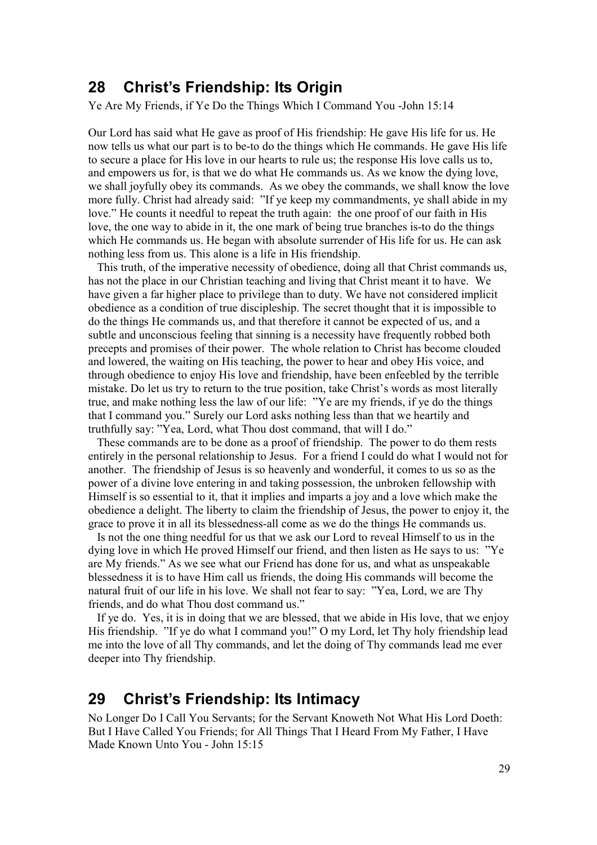# **28 Christ's Friendship: Its Origin**

Ye Are My Friends, if Ye Do the Things Which I Command You -John 15:14

Our Lord has said what He gave as proof of His friendship: He gave His life for us. He now tells us what our part is to be-to do the things which He commands. He gave His life to secure a place for His love in our hearts to rule us; the response His love calls us to, and empowers us for, is that we do what He commands us. As we know the dying love, we shall joyfully obey its commands. As we obey the commands, we shall know the love more fully. Christ had already said: "If ye keep my commandments, ye shall abide in my love." He counts it needful to repeat the truth again: the one proof of our faith in His love, the one way to abide in it, the one mark of being true branches is-to do the things which He commands us. He began with absolute surrender of His life for us. He can ask nothing less from us. This alone is a life in His friendship.

 This truth, of the imperative necessity of obedience, doing all that Christ commands us, has not the place in our Christian teaching and living that Christ meant it to have. We have given a far higher place to privilege than to duty. We have not considered implicit obedience as a condition of true discipleship. The secret thought that it is impossible to do the things He commands us, and that therefore it cannot be expected of us, and a subtle and unconscious feeling that sinning is a necessity have frequently robbed both precepts and promises of their power. The whole relation to Christ has become clouded and lowered, the waiting on His teaching, the power to hear and obey His voice, and through obedience to enjoy His love and friendship, have been enfeebled by the terrible mistake. Do let us try to return to the true position, take Christ's words as most literally true, and make nothing less the law of our life: "Ye are my friends, if ye do the things that I command you." Surely our Lord asks nothing less than that we heartily and truthfully say: "Yea, Lord, what Thou dost command, that will I do."

 These commands are to be done as a proof of friendship. The power to do them rests entirely in the personal relationship to Jesus. For a friend I could do what I would not for another. The friendship of Jesus is so heavenly and wonderful, it comes to us so as the power of a divine love entering in and taking possession, the unbroken fellowship with Himself is so essential to it, that it implies and imparts a joy and a love which make the obedience a delight. The liberty to claim the friendship of Jesus, the power to enjoy it, the grace to prove it in all its blessedness-all come as we do the things He commands us.

Is not the one thing needful for us that we ask our Lord to reveal Himself to us in the dying love in which He proved Himself our friend, and then listen as He says to us: "Ye are My friends." As we see what our Friend has done for us, and what as unspeakable blessedness it is to have Him call us friends, the doing His commands will become the natural fruit of our life in his love. We shall not fear to say: "Yea, Lord, we are Thy friends, and do what Thou dost command us."

 If ye do. Yes, it is in doing that we are blessed, that we abide in His love, that we enjoy His friendship. "If ye do what I command you!" O my Lord, let Thy holy friendship lead me into the love of all Thy commands, and let the doing of Thy commands lead me ever deeper into Thy friendship.

### **29 Christ's Friendship: Its Intimacy**

No Longer Do I Call You Servants; for the Servant Knoweth Not What His Lord Doeth: But I Have Called You Friends; for All Things That I Heard From My Father, I Have Made Known Unto You - John 15:15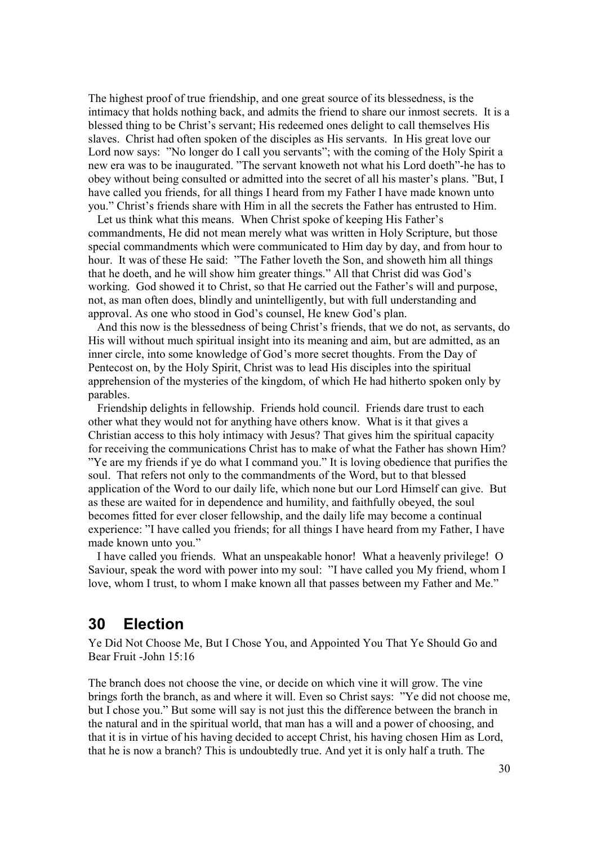The highest proof of true friendship, and one great source of its blessedness, is the intimacy that holds nothing back, and admits the friend to share our inmost secrets. It is a blessed thing to be Christ's servant; His redeemed ones delight to call themselves His slaves. Christ had often spoken of the disciples as His servants. In His great love our Lord now says: "No longer do I call you servants"; with the coming of the Holy Spirit a new era was to be inaugurated. "The servant knoweth not what his Lord doeth"-he has to obey without being consulted or admitted into the secret of all his master's plans. "But, I have called you friends, for all things I heard from my Father I have made known unto you." Christ's friends share with Him in all the secrets the Father has entrusted to Him.

 Let us think what this means. When Christ spoke of keeping His Father's commandments, He did not mean merely what was written in Holy Scripture, but those special commandments which were communicated to Him day by day, and from hour to hour. It was of these He said: "The Father loveth the Son, and showeth him all things that he doeth, and he will show him greater things." All that Christ did was God's working. God showed it to Christ, so that He carried out the Father's will and purpose, not, as man often does, blindly and unintelligently, but with full understanding and approval. As one who stood in God's counsel, He knew God's plan.

And this now is the blessedness of being Christ's friends, that we do not, as servants, do His will without much spiritual insight into its meaning and aim, but are admitted, as an inner circle, into some knowledge of God's more secret thoughts. From the Day of Pentecost on, by the Holy Spirit, Christ was to lead His disciples into the spiritual apprehension of the mysteries of the kingdom, of which He had hitherto spoken only by parables.

 Friendship delights in fellowship. Friends hold council. Friends dare trust to each other what they would not for anything have others know. What is it that gives a Christian access to this holy intimacy with Jesus? That gives him the spiritual capacity for receiving the communications Christ has to make of what the Father has shown Him? "Ye are my friends if ye do what I command you." It is loving obedience that purifies the soul. That refers not only to the commandments of the Word, but to that blessed application of the Word to our daily life, which none but our Lord Himself can give. But as these are waited for in dependence and humility, and faithfully obeyed, the soul becomes fitted for ever closer fellowship, and the daily life may become a continual experience: "I have called you friends; for all things I have heard from my Father, I have made known unto you."

I have called you friends. What an unspeakable honor! What a heavenly privilege! O Saviour, speak the word with power into my soul: "I have called you My friend, whom I love, whom I trust, to whom I make known all that passes between my Father and Me."

# **30 Election**

Ye Did Not Choose Me, But I Chose You, and Appointed You That Ye Should Go and Bear Fruit -John 15:16

The branch does not choose the vine, or decide on which vine it will grow. The vine brings forth the branch, as and where it will. Even so Christ says: "Ye did not choose me, but I chose you." But some will say is not just this the difference between the branch in the natural and in the spiritual world, that man has a will and a power of choosing, and that it is in virtue of his having decided to accept Christ, his having chosen Him as Lord, that he is now a branch? This is undoubtedly true. And yet it is only half a truth. The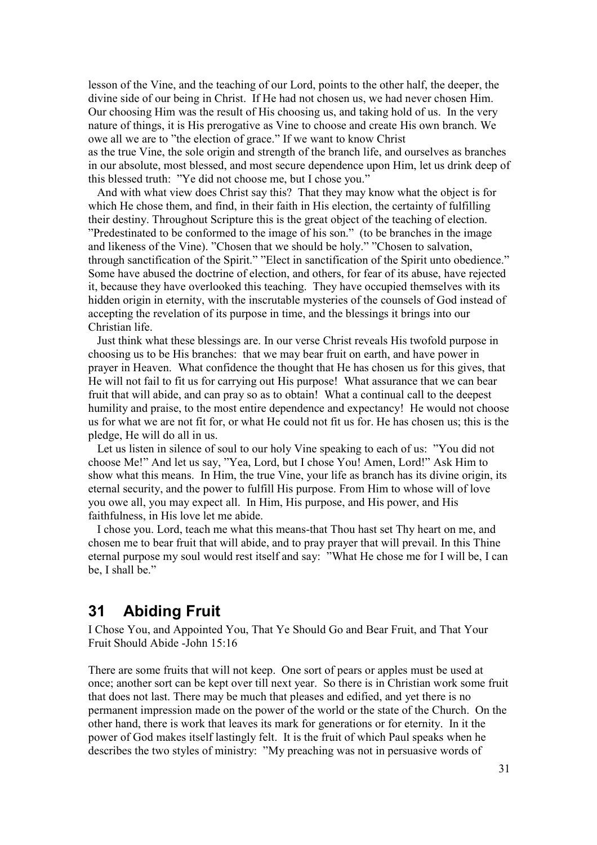lesson of the Vine, and the teaching of our Lord, points to the other half, the deeper, the divine side of our being in Christ. If He had not chosen us, we had never chosen Him. Our choosing Him was the result of His choosing us, and taking hold of us. In the very nature of things, it is His prerogative as Vine to choose and create His own branch. We owe all we are to "the election of grace." If we want to know Christ as the true Vine, the sole origin and strength of the branch life, and ourselves as branches in our absolute, most blessed, and most secure dependence upon Him, let us drink deep of this blessed truth: "Ye did not choose me, but I chose you."

And with what view does Christ say this? That they may know what the object is for which He chose them, and find, in their faith in His election, the certainty of fulfilling their destiny. Throughout Scripture this is the great object of the teaching of election. "Predestinated to be conformed to the image of his son." (to be branches in the image and likeness of the Vine). "Chosen that we should be holy." "Chosen to salvation, through sanctification of the Spirit." "Elect in sanctification of the Spirit unto obedience." Some have abused the doctrine of election, and others, for fear of its abuse, have rejected it, because they have overlooked this teaching. They have occupied themselves with its hidden origin in eternity, with the inscrutable mysteries of the counsels of God instead of accepting the revelation of its purpose in time, and the blessings it brings into our Christian life.

Just think what these blessings are. In our verse Christ reveals His twofold purpose in choosing us to be His branches: that we may bear fruit on earth, and have power in prayer in Heaven. What confidence the thought that He has chosen us for this gives, that He will not fail to fit us for carrying out His purpose! What assurance that we can bear fruit that will abide, and can pray so as to obtain! What a continual call to the deepest humility and praise, to the most entire dependence and expectancy! He would not choose us for what we are not fit for, or what He could not fit us for. He has chosen us; this is the pledge, He will do all in us.

 Let us listen in silence of soul to our holy Vine speaking to each of us: "You did not choose Me!" And let us say, "Yea, Lord, but I chose You! Amen, Lord!" Ask Him to show what this means. In Him, the true Vine, your life as branch has its divine origin, its eternal security, and the power to fulfill His purpose. From Him to whose will of love you owe all, you may expect all. In Him, His purpose, and His power, and His faithfulness, in His love let me abide.

I chose you. Lord, teach me what this means-that Thou hast set Thy heart on me, and chosen me to bear fruit that will abide, and to pray prayer that will prevail. In this Thine eternal purpose my soul would rest itself and say: "What He chose me for I will be, I can be, I shall be."

# **31 Abiding Fruit**

I Chose You, and Appointed You, That Ye Should Go and Bear Fruit, and That Your Fruit Should Abide -John 15:16

There are some fruits that will not keep. One sort of pears or apples must be used at once; another sort can be kept over till next year. So there is in Christian work some fruit that does not last. There may be much that pleases and edified, and yet there is no permanent impression made on the power of the world or the state of the Church. On the other hand, there is work that leaves its mark for generations or for eternity. In it the power of God makes itself lastingly felt. It is the fruit of which Paul speaks when he describes the two styles of ministry: "My preaching was not in persuasive words of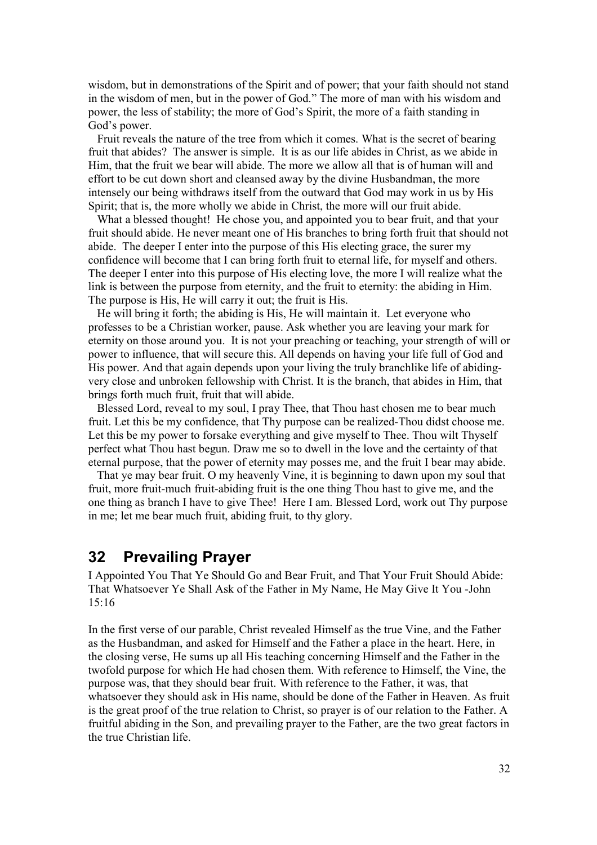wisdom, but in demonstrations of the Spirit and of power; that your faith should not stand in the wisdom of men, but in the power of God." The more of man with his wisdom and power, the less of stability; the more of God's Spirit, the more of a faith standing in God's power.

 Fruit reveals the nature of the tree from which it comes. What is the secret of bearing fruit that abides? The answer is simple. It is as our life abides in Christ, as we abide in Him, that the fruit we bear will abide. The more we allow all that is of human will and effort to be cut down short and cleansed away by the divine Husbandman, the more intensely our being withdraws itself from the outward that God may work in us by His Spirit; that is, the more wholly we abide in Christ, the more will our fruit abide.

What a blessed thought! He chose you, and appointed you to bear fruit, and that your fruit should abide. He never meant one of His branches to bring forth fruit that should not abide. The deeper I enter into the purpose of this His electing grace, the surer my confidence will become that I can bring forth fruit to eternal life, for myself and others. The deeper I enter into this purpose of His electing love, the more I will realize what the link is between the purpose from eternity, and the fruit to eternity: the abiding in Him. The purpose is His, He will carry it out; the fruit is His.

He will bring it forth; the abiding is His, He will maintain it. Let everyone who professes to be a Christian worker, pause. Ask whether you are leaving your mark for eternity on those around you. It is not your preaching or teaching, your strength of will or power to influence, that will secure this. All depends on having your life full of God and His power. And that again depends upon your living the truly branchlike life of abidingvery close and unbroken fellowship with Christ. It is the branch, that abides in Him, that brings forth much fruit, fruit that will abide.

Blessed Lord, reveal to my soul, I pray Thee, that Thou hast chosen me to bear much fruit. Let this be my confidence, that Thy purpose can be realized-Thou didst choose me. Let this be my power to forsake everything and give myself to Thee. Thou wilt Thyself perfect what Thou hast begun. Draw me so to dwell in the love and the certainty of that eternal purpose, that the power of eternity may posses me, and the fruit I bear may abide.

 That ye may bear fruit. O my heavenly Vine, it is beginning to dawn upon my soul that fruit, more fruit-much fruit-abiding fruit is the one thing Thou hast to give me, and the one thing as branch I have to give Thee! Here I am. Blessed Lord, work out Thy purpose in me; let me bear much fruit, abiding fruit, to thy glory.

# **32 Prevailing Prayer**

I Appointed You That Ye Should Go and Bear Fruit, and That Your Fruit Should Abide: That Whatsoever Ye Shall Ask of the Father in My Name, He May Give It You -John 15:16

In the first verse of our parable, Christ revealed Himself as the true Vine, and the Father as the Husbandman, and asked for Himself and the Father a place in the heart. Here, in the closing verse, He sums up all His teaching concerning Himself and the Father in the twofold purpose for which He had chosen them. With reference to Himself, the Vine, the purpose was, that they should bear fruit. With reference to the Father, it was, that whatsoever they should ask in His name, should be done of the Father in Heaven. As fruit is the great proof of the true relation to Christ, so prayer is of our relation to the Father. A fruitful abiding in the Son, and prevailing prayer to the Father, are the two great factors in the true Christian life.